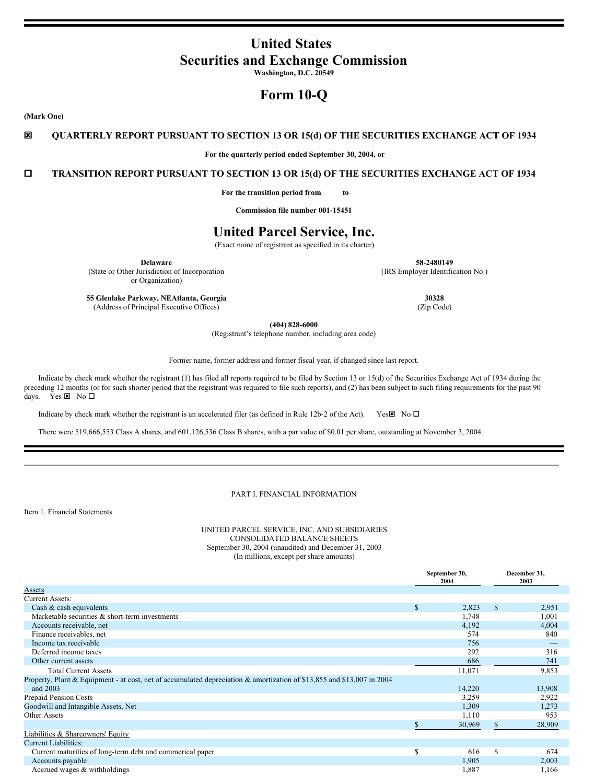# **United States Securities and Exchange Commission**

**Washington, D.C. 20549**

# **Form 10-Q**

**(Mark One)**

ý **QUARTERLY REPORT PURSUANT TO SECTION 13 OR 15(d) OF THE SECURITIES EXCHANGE ACT OF 1934**

**For the quarterly period ended September 30, 2004, or**

o **TRANSITION REPORT PURSUANT TO SECTION 13 OR 15(d) OF THE SECURITIES EXCHANGE ACT OF 1934**

**For the transition period from to**

**Commission file number 001-15451**

# **United Parcel Service, Inc.**

(Exact name of registrant as specified in its charter)

(State or Other Jurisdiction of Incorporation or Organization)

**Delaware 58-2480149** (IRS Employer Identification No.)

**55 Glenlake Parkway, NEAtlanta, Georgia 30328** (Address of Principal Executive Offices) (Zip Code)

**(404) 828-6000**

(Registrant's telephone number, including area code)

Former name, former address and former fiscal year, if changed since last report.

Indicate by check mark whether the registrant (1) has filed all reports required to be filed by Section 13 or 15(d) of the Securities Exchange Act of 1934 during the preceding 12 months (or for such shorter period that the registrant was required to file such reports), and (2) has been subject to such filing requirements for the past 90 days. Yes  $\times$  No  $\Box$ 

Indicate by check mark whether the registrant is an accelerated filer (as defined in Rule 12b-2 of the Act). Yes $\boxtimes$  No  $\square$ 

There were 519,666,553 Class A shares, and 601,126,536 Class B shares, with a par value of \$0.01 per share, outstanding at November 3, 2004.

# PART I. FINANCIAL INFORMATION

Item 1. Financial Statements

# UNITED PARCEL SERVICE, INC. AND SUBSIDIARIES CONSOLIDATED BALANCE SHEETS September 30, 2004 (unaudited) and December 31, 2003 (In millions, except per share amounts)

|                                                                                                                        | September 30,<br>2004 |    | December 31,<br>2003 |  |
|------------------------------------------------------------------------------------------------------------------------|-----------------------|----|----------------------|--|
| Assets                                                                                                                 |                       |    |                      |  |
| <b>Current Assets:</b>                                                                                                 |                       |    |                      |  |
| Cash & cash equivalents                                                                                                | \$<br>2,823           | \$ | 2,951                |  |
| Marketable securities $\&$ short-term investments                                                                      | 1,748                 |    | 1,001                |  |
| Accounts receivable, net                                                                                               | 4,192                 |    | 4,004                |  |
| Finance receivables, net                                                                                               | 574                   |    | 840                  |  |
| Income tax receivable                                                                                                  | 756                   |    |                      |  |
| Deferred income taxes                                                                                                  | 292                   |    | 316                  |  |
| Other current assets                                                                                                   | 686                   |    | 741                  |  |
| <b>Total Current Assets</b>                                                                                            | 11,071                |    | 9,853                |  |
| Property, Plant & Equipment - at cost, net of accumulated depreciation & amortization of \$13,855 and \$13,007 in 2004 |                       |    |                      |  |
| and 2003                                                                                                               | 14,220                |    | 13,908               |  |
| Prepaid Pension Costs                                                                                                  | 3,259                 |    | 2,922                |  |
| Goodwill and Intangible Assets, Net                                                                                    | 1,309                 |    | 1,273                |  |
| Other Assets                                                                                                           | 1,110                 |    | 953                  |  |
|                                                                                                                        | 30,969                |    | 28,909               |  |
| Liabilities & Shareowners' Equity                                                                                      |                       |    |                      |  |
| <b>Current Liabilities:</b>                                                                                            |                       |    |                      |  |
| Current maturities of long-term debt and commerical paper                                                              | \$<br>616             | S  | 674                  |  |
| Accounts payable                                                                                                       | 1,905                 |    | 2,003                |  |
| Accrued wages & withholdings                                                                                           | 1,887                 |    | 1,166                |  |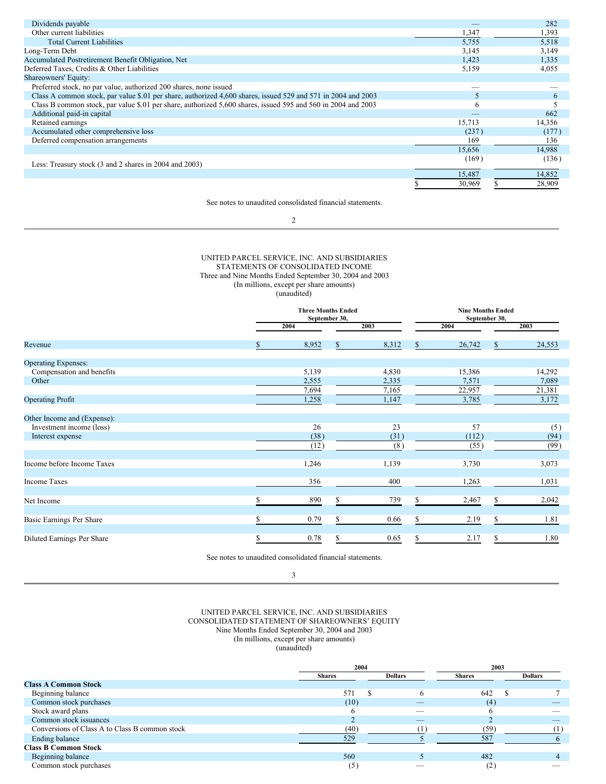| Dividends payable                                                                                             |        | 282    |
|---------------------------------------------------------------------------------------------------------------|--------|--------|
| Other current liabilities                                                                                     | 1,347  | 1,393  |
| <b>Total Current Liabilities</b>                                                                              | 5,755  | 5,518  |
| Long-Term Debt                                                                                                | 3,145  | 3,149  |
| Accumulated Postretirement Benefit Obligation, Net                                                            | 1,423  | 1,335  |
| Deferred Taxes, Credits & Other Liabilities                                                                   | 5,159  | 4,055  |
| <b>Shareowners' Equity:</b>                                                                                   |        |        |
| Preferred stock, no par value, authorized 200 shares, none issued                                             |        |        |
| Class A common stock, par value \$.01 per share, authorized 4,600 shares, issued 529 and 571 in 2004 and 2003 | 5      | 6      |
| Class B common stock, par value \$.01 per share, authorized 5,600 shares, issued 595 and 560 in 2004 and 2003 | 6      |        |
| Additional paid-in capital                                                                                    |        | 662    |
| Retained earnings                                                                                             | 15,713 | 14,356 |
| Accumulated other comprehensive loss                                                                          | (237)  | (177)  |
| Deferred compensation arrangements                                                                            | 169    | 136    |
|                                                                                                               | 15.656 | 14,988 |
| Less: Treasury stock (3 and 2 shares in 2004 and 2003)                                                        | (169)  | (136)  |
|                                                                                                               | 15,487 | 14,852 |
|                                                                                                               | 30,969 | 28,909 |

See notes to unaudited consolidated financial statements.

2

# UNITED PARCEL SERVICE, INC. AND SUBSIDIARIES STATEMENTS OF CONSOLIDATED INCOME Three and Nine Months Ended September 30, 2004 and 2003 (In millions, except per share amounts) (unaudited)

|                             |    | <b>Three Months Ended</b><br>September 30, |    |       |    | <b>Nine Months Ended</b> |    |        |
|-----------------------------|----|--------------------------------------------|----|-------|----|--------------------------|----|--------|
|                             |    | 2004                                       |    | 2003  |    | 2004                     |    | 2003   |
| Revenue                     | \$ | 8,952                                      | \$ | 8,312 | \$ | 26,742                   | S. | 24,553 |
| <b>Operating Expenses:</b>  |    |                                            |    |       |    |                          |    |        |
| Compensation and benefits   |    | 5,139                                      |    | 4,830 |    | 15,386                   |    | 14,292 |
| Other                       |    | 2,555                                      |    | 2,335 |    | 7,571                    |    | 7,089  |
|                             |    | 7,694                                      |    | 7,165 |    | 22,957                   |    | 21,381 |
| <b>Operating Profit</b>     |    | 1,258                                      |    | 1,147 |    | 3,785                    |    | 3,172  |
| Other Income and (Expense): |    |                                            |    |       |    |                          |    |        |
| Investment income (loss)    |    | 26                                         |    | 23    |    | 57                       |    | (5)    |
| Interest expense            |    | (38)                                       |    | (31)  |    | (112)                    |    | (94)   |
|                             |    | (12)                                       |    | (8)   |    | (55)                     |    | (99)   |
| Income before Income Taxes  |    | 1,246                                      |    | 1,139 |    | 3,730                    |    | 3,073  |
| <b>Income Taxes</b>         |    | 356                                        |    | 400   |    | 1,263                    |    | 1,031  |
| Net Income                  | S  | 890                                        | S  | 739   | S  | 2,467                    | S  | 2,042  |
|                             |    |                                            |    |       |    |                          |    |        |
| Basic Earnings Per Share    | S  | 0.79                                       | \$ | 0.66  | \$ | 2.19                     | S  | 1.81   |
| Diluted Earnings Per Share  | \$ | 0.78                                       | S  | 0.65  | S  | 2.17                     | S  | 1.80   |

See notes to unaudited consolidated financial statements.

3

### UNITED PARCEL SERVICE, INC. AND SUBSIDIARIES CONSOLIDATED STATEMENT OF SHAREOWNERS' EQUITY Nine Months Ended September 30, 2004 and 2003 (In millions, except per share amounts) (unaudited)

|                                                | 2004          |  | 2003           |               |  |                |
|------------------------------------------------|---------------|--|----------------|---------------|--|----------------|
|                                                | <b>Shares</b> |  | <b>Dollars</b> | <b>Shares</b> |  | <b>Dollars</b> |
| <b>Class A Common Stock</b>                    |               |  |                |               |  |                |
| Beginning balance                              | 571           |  |                | 642           |  |                |
| Common stock purchases                         | (10)          |  |                | (4)           |  |                |
| Stock award plans                              |               |  |                |               |  |                |
| Common stock issuances                         |               |  | _              |               |  |                |
| Conversions of Class A to Class B common stock | (40)          |  |                | (59)          |  |                |
| Ending balance                                 | 529           |  |                | 587           |  |                |
| <b>Class B Common Stock</b>                    |               |  |                |               |  |                |
| Beginning balance                              | 560           |  |                | 482           |  |                |
| Common stock purchases                         | (5)           |  |                | (2)           |  |                |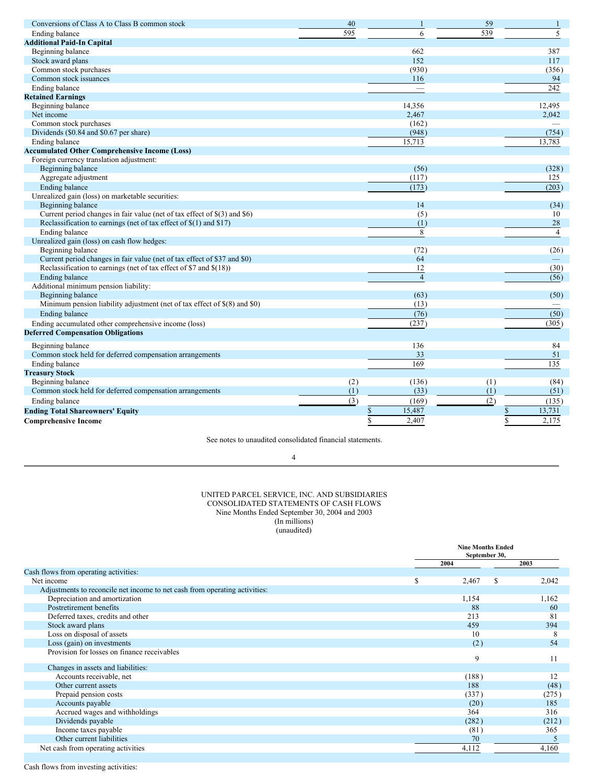| Conversions of Class A to Class B common stock                                   | 40  | $\mathbf{1}$   | 59  | 1                 |
|----------------------------------------------------------------------------------|-----|----------------|-----|-------------------|
| Ending balance                                                                   | 595 | 6              | 539 | 5                 |
| <b>Additional Paid-In Capital</b>                                                |     |                |     |                   |
| Beginning balance                                                                |     | 662            |     | 387               |
| Stock award plans                                                                |     | 152            |     | 117               |
| Common stock purchases                                                           |     | (930)          |     | (356)             |
| Common stock issuances                                                           |     | 116            |     | 94                |
| Ending balance                                                                   |     |                |     | 242               |
| <b>Retained Earnings</b>                                                         |     |                |     |                   |
| Beginning balance                                                                |     | 14,356         |     | 12,495            |
| Net income                                                                       |     | 2,467          |     | 2,042             |
| Common stock purchases                                                           |     | (162)          |     |                   |
| Dividends (\$0.84 and \$0.67 per share)                                          |     | (948)          |     | (754)             |
| Ending balance                                                                   |     | 15,713         |     | 13,783            |
| <b>Accumulated Other Comprehensive Income (Loss)</b>                             |     |                |     |                   |
| Foreign currency translation adjustment:                                         |     |                |     |                   |
| Beginning balance                                                                |     | (56)           |     | (328)             |
| Aggregate adjustment                                                             |     | (117)          |     | 125               |
| <b>Ending balance</b>                                                            |     | (173)          |     | (203)             |
| Unrealized gain (loss) on marketable securities:                                 |     |                |     |                   |
| Beginning balance                                                                |     | 14             |     | (34)              |
| Current period changes in fair value (net of tax effect of $\S(3)$ ) and $\S(6)$ |     | (5)            |     | 10                |
| Reclassification to earnings (net of tax effect of $\S(1)$ ) and $\S(7)$         |     | (1)            |     | 28                |
| <b>Ending balance</b>                                                            |     | 8              |     | $\overline{4}$    |
| Unrealized gain (loss) on cash flow hedges:                                      |     |                |     |                   |
| Beginning balance                                                                |     | (72)           |     | (26)              |
| Current period changes in fair value (net of tax effect of \$37 and \$0)         |     | 64             |     |                   |
| Reclassification to earnings (net of tax effect of \$7 and $$(18)$ )             |     | 12             |     | (30)              |
| <b>Ending balance</b>                                                            |     | $\overline{4}$ |     | (56)              |
| Additional minimum pension liability:                                            |     |                |     |                   |
| Beginning balance                                                                |     | (63)           |     | (50)              |
| Minimum pension liability adjustment (net of tax effect of \$(8) and \$0)        |     | (13)           |     |                   |
| Ending balance                                                                   |     | (76)           |     | $\overline{(50)}$ |
| Ending accumulated other comprehensive income (loss)                             |     | (237)          |     | (305)             |
| <b>Deferred Compensation Obligations</b>                                         |     |                |     |                   |
| Beginning balance                                                                |     | 136            |     | 84                |
| Common stock held for deferred compensation arrangements                         |     | 33             |     | 51                |
| Ending balance                                                                   |     | 169            |     | 135               |
| <b>Treasury Stock</b>                                                            |     |                |     |                   |
| Beginning balance                                                                | (2) | (136)          | (1) | (84)              |
| Common stock held for deferred compensation arrangements                         | (1) | (33)           | (1) | (51)              |
|                                                                                  | (3) |                |     |                   |
| Ending balance                                                                   |     | (169)          | (2) | (135)             |
| <b>Ending Total Shareowners' Equity</b>                                          |     | \$<br>15,487   |     | 13,731<br>\$      |
| <b>Comprehensive Income</b>                                                      |     | \$<br>2,407    |     | Ŝ<br>2,175        |

See notes to unaudited consolidated financial statements.

# 4

#### UNITED PARCEL SERVICE, INC. AND SUBSIDIARIES CONSOLIDATED STATEMENTS OF CASH FLOWS Nine Months Ended September 30, 2004 and 2003 (In millions) (unaudited)

|                                                                            | <b>Nine Months Ended</b><br>September 30, |       |  |
|----------------------------------------------------------------------------|-------------------------------------------|-------|--|
|                                                                            | 2004                                      | 2003  |  |
| Cash flows from operating activities:                                      |                                           |       |  |
| Net income                                                                 | \$<br>2,467<br>S                          | 2,042 |  |
| Adjustments to reconcile net income to net cash from operating activities: |                                           |       |  |
| Depreciation and amortization                                              | 1,154                                     | 1,162 |  |
| Postretirement benefits                                                    | 88                                        | 60    |  |
| Deferred taxes, credits and other                                          | 213                                       | 81    |  |
| Stock award plans                                                          | 459                                       | 394   |  |
| Loss on disposal of assets                                                 | 10                                        | 8     |  |
| Loss (gain) on investments                                                 | (2)                                       | 54    |  |
| Provision for losses on finance receivables                                | 9                                         | 11    |  |
| Changes in assets and liabilities:                                         |                                           |       |  |
| Accounts receivable, net                                                   | (188)                                     | 12    |  |
| Other current assets                                                       | 188                                       | (48)  |  |
| Prepaid pension costs                                                      | (337)                                     | (275) |  |
| Accounts payable                                                           | (20)                                      | 185   |  |
| Accrued wages and withholdings                                             | 364                                       | 316   |  |
| Dividends payable                                                          | (282)                                     | (212) |  |
| Income taxes payable                                                       | (81)                                      | 365   |  |
| Other current liabilities                                                  | 70                                        |       |  |
| Net cash from operating activities                                         | 4,112                                     | 4,160 |  |

Cash flows from investing activities: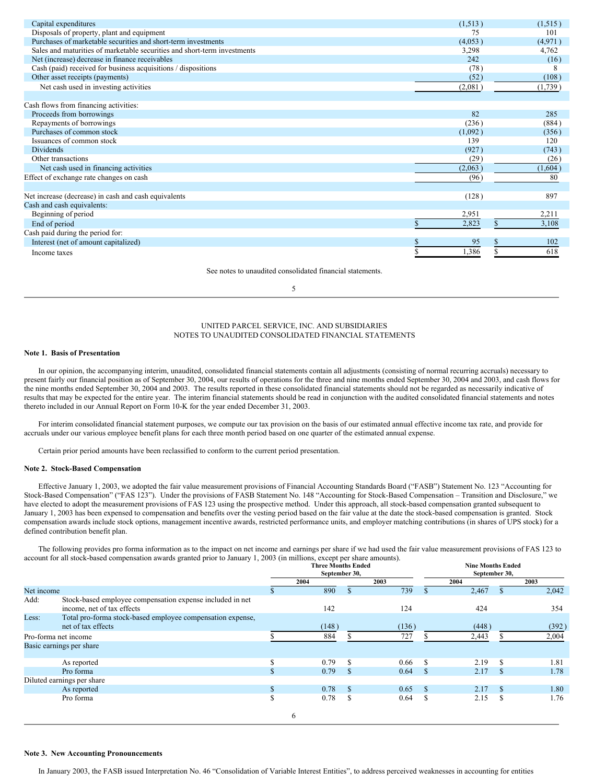| Capital expenditures                                                     | (1,513) | (1,515) |
|--------------------------------------------------------------------------|---------|---------|
| Disposals of property, plant and equipment                               | 75      | 101     |
| Purchases of marketable securities and short-term investments            | (4,053) | (4,971) |
| Sales and maturities of marketable securities and short-term investments | 3,298   | 4,762   |
| Net (increase) decrease in finance receivables                           | 242     | (16)    |
| Cash (paid) received for business acquisitions / dispositions            | (78)    | 8       |
| Other asset receipts (payments)                                          | (52)    | (108)   |
| Net cash used in investing activities                                    | (2,081) | (1,739) |
|                                                                          |         |         |
| Cash flows from financing activities:                                    |         |         |
| Proceeds from borrowings                                                 | 82      | 285     |
| Repayments of borrowings                                                 | (236)   | (884)   |
| Purchases of common stock                                                | (1,092) | (356)   |
| Issuances of common stock                                                | 139     | 120     |
| <b>Dividends</b>                                                         | (927)   | (743)   |
| Other transactions                                                       | (29)    | (26)    |
| Net cash used in financing activities                                    | (2,063) | (1,604) |
| Effect of exchange rate changes on cash                                  | (96)    | 80      |
|                                                                          |         |         |
| Net increase (decrease) in cash and cash equivalents                     | (128)   | 897     |
| Cash and cash equivalents:                                               |         |         |
| Beginning of period                                                      | 2,951   | 2,211   |
| End of period                                                            | 2,823   | 3,108   |
| Cash paid during the period for:                                         |         |         |
| Interest (net of amount capitalized)                                     | 95      | 102     |
| Income taxes                                                             | 1,386   | 618     |
|                                                                          |         |         |

See notes to unaudited consolidated financial statements.

5

# UNITED PARCEL SERVICE, INC. AND SUBSIDIARIES NOTES TO UNAUDITED CONSOLIDATED FINANCIAL STATEMENTS

### **Note 1. Basis of Presentation**

In our opinion, the accompanying interim, unaudited, consolidated financial statements contain all adjustments (consisting of normal recurring accruals) necessary to present fairly our financial position as of September 30, 2004, our results of operations for the three and nine months ended September 30, 2004 and 2003, and cash flows for the nine months ended September 30, 2004 and 2003. The results reported in these consolidated financial statements should not be regarded as necessarily indicative of results that may be expected for the entire year. The interim financial statements should be read in conjunction with the audited consolidated financial statements and notes thereto included in our Annual Report on Form 10-K for the year ended December 31, 2003.

For interim consolidated financial statement purposes, we compute our tax provision on the basis of our estimated annual effective income tax rate, and provide for accruals under our various employee benefit plans for each three month period based on one quarter of the estimated annual expense.

Certain prior period amounts have been reclassified to conform to the current period presentation.

# **Note 2. Stock-Based Compensation**

Effective January 1, 2003, we adopted the fair value measurement provisions of Financial Accounting Standards Board ("FASB") Statement No. 123 "Accounting for Stock-Based Compensation" ("FAS 123"). Under the provisions of FASB Statement No. 148 "Accounting for Stock-Based Compensation – Transition and Disclosure," we have elected to adopt the measurement provisions of FAS 123 using the prospective method. Under this approach, all stock-based compensation granted subsequent to January 1, 2003 has been expensed to compensation and benefits over the vesting period based on the fair value at the date the stock-based compensation is granted. Stock compensation awards include stock options, management incentive awards, restricted performance units, and employer matching contributions (in shares of UPS stock) for a defined contribution benefit plan.

The following provides pro forma information as to the impact on net income and earnings per share if we had used the fair value measurement provisions of FAS 123 to account for all stock-based compensation awards granted prior to January 1, 2003 (in millions, except per share amounts). **Nine Months Ended**

|            |                                                            | <b>Three Months Ended</b><br>September 30, |       |               |       | <b>Nine Months Ended</b><br>September 30, |       |               |       |
|------------|------------------------------------------------------------|--------------------------------------------|-------|---------------|-------|-------------------------------------------|-------|---------------|-------|
|            |                                                            |                                            | 2004  |               | 2003  |                                           | 2004  |               | 2003  |
| Net income |                                                            |                                            | 890   |               | 739   |                                           | 2,467 | <sup>\$</sup> | 2,042 |
| Add:       | Stock-based employee compensation expense included in net  |                                            |       |               |       |                                           |       |               |       |
|            | income, net of tax effects                                 |                                            | 142   |               | 124   |                                           | 424   |               | 354   |
| Less:      | Total pro-forma stock-based employee compensation expense, |                                            |       |               |       |                                           |       |               |       |
|            | net of tax effects                                         |                                            | (148) |               | (136) |                                           | (448) |               | (392) |
|            | Pro-forma net income                                       |                                            | 884   |               | 727   |                                           | 2,443 |               | 2,004 |
|            | Basic earnings per share                                   |                                            |       |               |       |                                           |       |               |       |
|            | As reported                                                |                                            | 0.79  | \$.           | 0.66  | \$.                                       | 2.19  | <sup>\$</sup> | 1.81  |
|            | Pro forma                                                  | ъ                                          | 0.79  | <sup>\$</sup> | 0.64  | <sup>\$</sup>                             | 2.17  | <sup>\$</sup> | 1.78  |
|            | Diluted earnings per share                                 |                                            |       |               |       |                                           |       |               |       |
|            | As reported                                                | \$.                                        | 0.78  | -S            | 0.65  | <b>S</b>                                  | 2.17  | $\mathcal{S}$ | 1.80  |
|            | Pro forma                                                  | \$                                         | 0.78  | S             | 0.64  | Ъ                                         | 2.15  | S             | 1.76  |
|            |                                                            |                                            | 6     |               |       |                                           |       |               |       |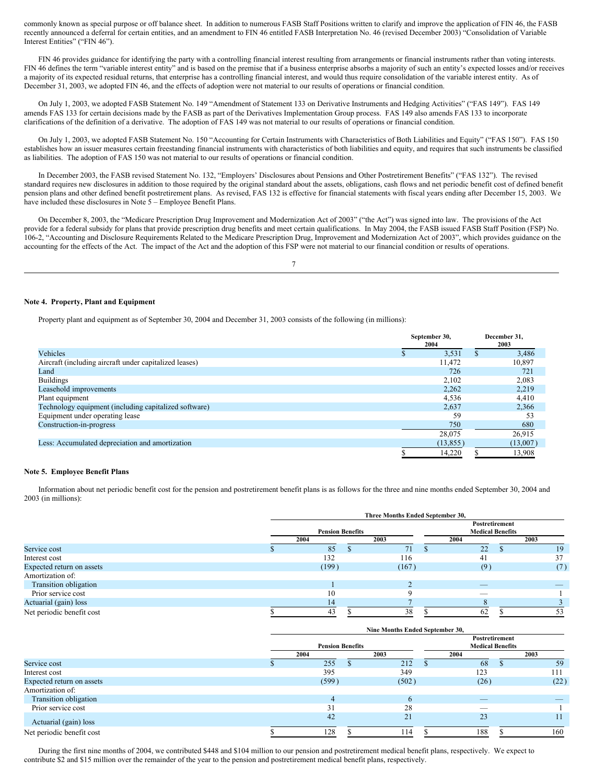commonly known as special purpose or off balance sheet. In addition to numerous FASB Staff Positions written to clarify and improve the application of FIN 46, the FASB recently announced a deferral for certain entities, and an amendment to FIN 46 entitled FASB Interpretation No. 46 (revised December 2003) "Consolidation of Variable Interest Entities" ("FIN 46").

FIN 46 provides guidance for identifying the party with a controlling financial interest resulting from arrangements or financial instruments rather than voting interests. FIN 46 defines the term "variable interest entity" and is based on the premise that if a business enterprise absorbs a majority of such an entity's expected losses and/or receives a majority of its expected residual returns, that enterprise has a controlling financial interest, and would thus require consolidation of the variable interest entity. As of December 31, 2003, we adopted FIN 46, and the effects of adoption were not material to our results of operations or financial condition.

On July 1, 2003, we adopted FASB Statement No. 149 "Amendment of Statement 133 on Derivative Instruments and Hedging Activities" ("FAS 149"). FAS 149 amends FAS 133 for certain decisions made by the FASB as part of the Derivatives Implementation Group process. FAS 149 also amends FAS 133 to incorporate clarifications of the definition of a derivative. The adoption of FAS 149 was not material to our results of operations or financial condition.

On July 1, 2003, we adopted FASB Statement No. 150 "Accounting for Certain Instruments with Characteristics of Both Liabilities and Equity" ("FAS 150"). FAS 150 establishes how an issuer measures certain freestanding financial instruments with characteristics of both liabilities and equity, and requires that such instruments be classified as liabilities. The adoption of FAS 150 was not material to our results of operations or financial condition.

In December 2003, the FASB revised Statement No. 132, "Employers' Disclosures about Pensions and Other Postretirement Benefits" ("FAS 132"). The revised standard requires new disclosures in addition to those required by the original standard about the assets, obligations, cash flows and net periodic benefit cost of defined benefit pension plans and other defined benefit postretirement plans. As revised, FAS 132 is effective for financial statements with fiscal years ending after December 15, 2003. We have included these disclosures in Note 5 – Employee Benefit Plans.

On December 8, 2003, the "Medicare Prescription Drug Improvement and Modernization Act of 2003" ("the Act") was signed into law. The provisions of the Act provide for a federal subsidy for plans that provide prescription drug benefits and meet certain qualifications. In May 2004, the FASB issued FASB Staff Position (FSP) No. 106-2, "Accounting and Disclosure Requirements Related to the Medicare Prescription Drug, Improvement and Modernization Act of 2003", which provides guidance on the accounting for the effects of the Act. The impact of the Act and the adoption of this FSP were not material to our financial condition or results of operations.

7

#### **Note 4. Property, Plant and Equipment**

Property plant and equipment as of September 30, 2004 and December 31, 2003 consists of the following (in millions):

|                                                        | September 30,<br>2004 |   | December 31.<br>2003 |  |
|--------------------------------------------------------|-----------------------|---|----------------------|--|
| Vehicles                                               | 3.531                 | S | 3,486                |  |
| Aircraft (including aircraft under capitalized leases) | 11,472                |   | 10,897               |  |
| Land                                                   | 726                   |   | 721                  |  |
| <b>Buildings</b>                                       | 2,102                 |   | 2,083                |  |
| Leasehold improvements                                 | 2,262                 |   | 2,219                |  |
| Plant equipment                                        | 4,536                 |   | 4,410                |  |
| Technology equipment (including capitalized software)  | 2,637                 |   | 2,366                |  |
| Equipment under operating lease                        | 59                    |   | 53                   |  |
| Construction-in-progress                               | 750                   |   | 680                  |  |
|                                                        | 28,075                |   | 26,915               |  |
| Less: Accumulated depreciation and amortization        | (13, 855)             |   | (13,007)             |  |
|                                                        | 14.220                |   | 13.908               |  |

#### **Note 5. Employee Benefit Plans**

Information about net periodic benefit cost for the pension and postretirement benefit plans is as follows for the three and nine months ended September 30, 2004 and 2003 (in millions):

|                           | Three Months Ended September 30, |  |       |  |                                           |      |
|---------------------------|----------------------------------|--|-------|--|-------------------------------------------|------|
|                           | <b>Pension Benefits</b>          |  |       |  | Postretirement<br><b>Medical Benefits</b> |      |
|                           | 2004                             |  | 2003  |  | 2004                                      | 2003 |
| Service cost              | 85                               |  | 71    |  | 22                                        | 19   |
| Interest cost             | 132                              |  | 116   |  | 41                                        | 37   |
| Expected return on assets | (199)                            |  | (167) |  | (9)                                       | (7)  |
| Amortization of:          |                                  |  |       |  |                                           |      |
| Transition obligation     |                                  |  |       |  |                                           | _    |
| Prior service cost        | 10                               |  |       |  |                                           |      |
| Actuarial (gain) loss     | 14                               |  |       |  |                                           |      |
| Net periodic benefit cost | 43                               |  | 38    |  | 62                                        | 53   |

|                           | Nine Months Ended September 30, |  |       |                                           |      |    |      |
|---------------------------|---------------------------------|--|-------|-------------------------------------------|------|----|------|
|                           | <b>Pension Benefits</b>         |  |       | Postretirement<br><b>Medical Benefits</b> |      |    |      |
|                           | 2004                            |  | 2003  |                                           | 2004 |    | 2003 |
| Service cost              | 255                             |  | 212   |                                           | 68   | ٠D | 59   |
| Interest cost             | 395                             |  | 349   |                                           | 123  |    | 111  |
| Expected return on assets | (599)                           |  | (502) |                                           | (26) |    | (22) |
| Amortization of:          |                                 |  |       |                                           |      |    |      |
| Transition obligation     | $\overline{4}$                  |  | 6     |                                           | _    |    |      |
| Prior service cost        | 31                              |  | 28    |                                           | __   |    |      |
| Actuarial (gain) loss     | 42                              |  | 21    |                                           | 23   |    | 11   |
| Net periodic benefit cost | 128                             |  | 114   |                                           | 188  |    | 160  |

During the first nine months of 2004, we contributed \$448 and \$104 million to our pension and postretirement medical benefit plans, respectively. We expect to contribute \$2 and \$15 million over the remainder of the year to the pension and postretirement medical benefit plans, respectively.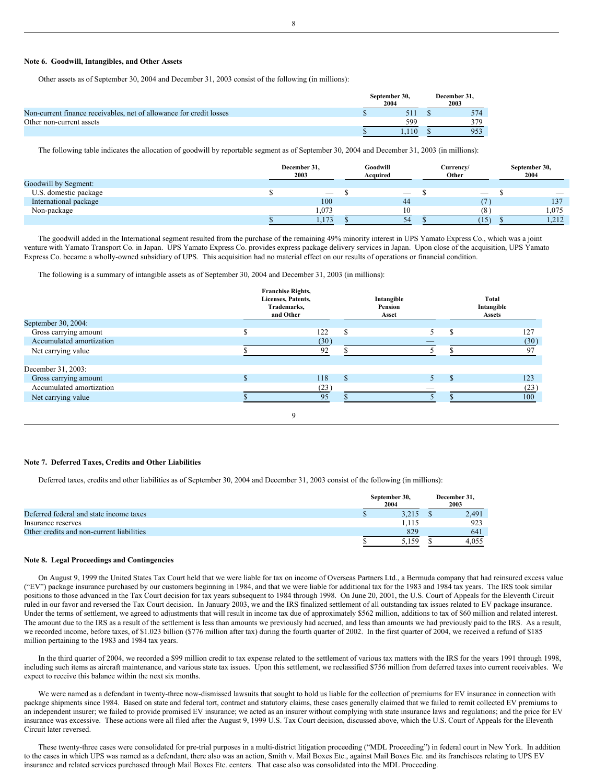#### **Note 6. Goodwill, Intangibles, and Other Assets**

Other assets as of September 30, 2004 and December 31, 2003 consist of the following (in millions):

|                                                                     | September 30.<br>2004 | December 31.<br>2003 |  |     |
|---------------------------------------------------------------------|-----------------------|----------------------|--|-----|
| Non-current finance receivables, net of allowance for credit losses |                       |                      |  | 574 |
| Other non-current assets                                            |                       | 599                  |  | 379 |
|                                                                     |                       | $\overline{10}$      |  | 953 |

The following table indicates the allocation of goodwill by reportable segment as of September 30, 2004 and December 31, 2003 (in millions):

|                       | December 31,<br>2003     | Goodwill<br>Acquired     | Currency/<br>Other |                          | September 30,<br>2004 |
|-----------------------|--------------------------|--------------------------|--------------------|--------------------------|-----------------------|
| Goodwill by Segment:  |                          |                          |                    |                          |                       |
| U.S. domestic package | $\overline{\phantom{a}}$ | $\overline{\phantom{a}}$ |                    | $\overline{\phantom{a}}$ | _                     |
| International package | 100                      | 44                       |                    |                          | 137                   |
| Non-package           | 1,073                    | 10                       |                    |                          | 1.075                 |
|                       | 1, 1/3                   | 54                       |                    | 15)                      | .212<br>1,414         |

The goodwill added in the International segment resulted from the purchase of the remaining 49% minority interest in UPS Yamato Express Co., which was a joint venture with Yamato Transport Co. in Japan. UPS Yamato Express Co. provides express package delivery services in Japan. Upon close of the acquisition, UPS Yamato Express Co. became a wholly-owned subsidiary of UPS. This acquisition had no material effect on our results of operations or financial condition.

The following is a summary of intangible assets as of September 30, 2004 and December 31, 2003 (in millions):

|                          | <b>Franchise Rights,</b><br>Licenses, Patents,<br>Trademarks,<br>and Other |              |    | Total<br>Intangible<br>Assets |      |  |
|--------------------------|----------------------------------------------------------------------------|--------------|----|-------------------------------|------|--|
| September 30, 2004:      |                                                                            |              |    |                               |      |  |
| Gross carrying amount    | 122                                                                        | S            |    | S                             | 127  |  |
| Accumulated amortization | (30)                                                                       |              |    |                               | (30) |  |
| Net carrying value       | 92                                                                         |              |    |                               | 97   |  |
| December 31, 2003:       |                                                                            |              |    |                               |      |  |
| Gross carrying amount    | 118                                                                        | $\mathbf{s}$ | 5. | <b>S</b>                      | 123  |  |
| Accumulated amortization | (23)                                                                       |              |    |                               | (23) |  |
| Net carrying value       | 95                                                                         |              |    |                               | 100  |  |
|                          | 9                                                                          |              |    |                               |      |  |

#### **Note 7. Deferred Taxes, Credits and Other Liabilities**

Deferred taxes, credits and other liabilities as of September 30, 2004 and December 31, 2003 consist of the following (in millions):

|                                           | September 30,<br>2004 | December 31.<br>2003 |
|-------------------------------------------|-----------------------|----------------------|
| Deferred federal and state income taxes   | 3.215                 | 2.491                |
| Insurance reserves                        | 1.115                 | 923                  |
| Other credits and non-current liabilities | 829                   | 641                  |
|                                           | 5.159                 | 4.055                |

# **Note 8. Legal Proceedings and Contingencies**

On August 9, 1999 the United States Tax Court held that we were liable for tax on income of Overseas Partners Ltd., a Bermuda company that had reinsured excess value ("EV") package insurance purchased by our customers beginning in 1984, and that we were liable for additional tax for the 1983 and 1984 tax years. The IRS took similar positions to those advanced in the Tax Court decision for tax years subsequent to 1984 through 1998. On June 20, 2001, the U.S. Court of Appeals for the Eleventh Circuit ruled in our favor and reversed the Tax Court decision. In January 2003, we and the IRS finalized settlement of all outstanding tax issues related to EV package insurance. Under the terms of settlement, we agreed to adjustments that will result in income tax due of approximately \$562 million, additions to tax of \$60 million and related interest. The amount due to the IRS as a result of the settlement is less than amounts we previously had accrued, and less than amounts we had previously paid to the IRS. As a result, we recorded income, before taxes, of \$1.023 billion (\$776 million after tax) during the fourth quarter of 2002. In the first quarter of 2004, we received a refund of \$185 million pertaining to the 1983 and 1984 tax years.

In the third quarter of 2004, we recorded a \$99 million credit to tax expense related to the settlement of various tax matters with the IRS for the years 1991 through 1998, including such items as aircraft maintenance, and various state tax issues. Upon this settlement, we reclassified \$756 million from deferred taxes into current receivables. We expect to receive this balance within the next six months.

We were named as a defendant in twenty-three now-dismissed lawsuits that sought to hold us liable for the collection of premiums for EV insurance in connection with package shipments since 1984. Based on state and federal tort, contract and statutory claims, these cases generally claimed that we failed to remit collected EV premiums to an independent insurer; we failed to provide promised EV insurance; we acted as an insurer without complying with state insurance laws and regulations; and the price for EV insurance was excessive. These actions were all filed after the August 9, 1999 U.S. Tax Court decision, discussed above, which the U.S. Court of Appeals for the Eleventh Circuit later reversed.

These twenty-three cases were consolidated for pre-trial purposes in a multi-district litigation proceeding ("MDL Proceeding") in federal court in New York. In addition to the cases in which UPS was named as a defendant, there also was an action, Smith v. Mail Boxes Etc., against Mail Boxes Etc. and its franchisees relating to UPS EV insurance and related services purchased through Mail Boxes Etc. centers. That case also was consolidated into the MDL Proceeding.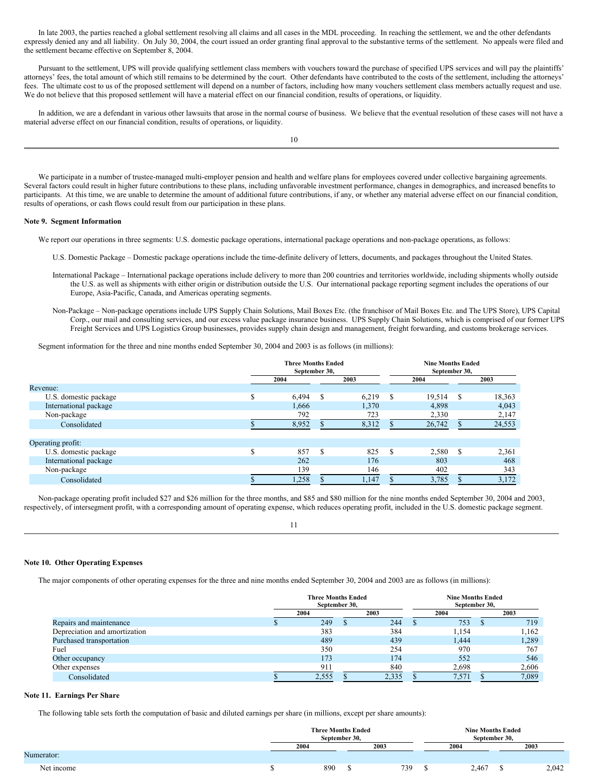In late 2003, the parties reached a global settlement resolving all claims and all cases in the MDL proceeding. In reaching the settlement, we and the other defendants expressly denied any and all liability. On July 30, 2004, the court issued an order granting final approval to the substantive terms of the settlement. No appeals were filed and the settlement became effective on September 8, 2004.

Pursuant to the settlement, UPS will provide qualifying settlement class members with vouchers toward the purchase of specified UPS services and will pay the plaintiffs' attorneys' fees, the total amount of which still remains to be determined by the court. Other defendants have contributed to the costs of the settlement, including the attorneys' fees. The ultimate cost to us of the proposed settlement will depend on a number of factors, including how many vouchers settlement class members actually request and use. We do not believe that this proposed settlement will have a material effect on our financial condition, results of operations, or liquidity.

In addition, we are a defendant in various other lawsuits that arose in the normal course of business. We believe that the eventual resolution of these cases will not have a material adverse effect on our financial condition, results of operations, or liquidity.

10

We participate in a number of trustee-managed multi-employer pension and health and welfare plans for employees covered under collective bargaining agreements. Several factors could result in higher future contributions to these plans, including unfavorable investment performance, changes in demographics, and increased benefits to participants. At this time, we are unable to determine the amount of additional future contributions, if any, or whether any material adverse effect on our financial condition, results of operations, or cash flows could result from our participation in these plans.

# **Note 9. Segment Information**

We report our operations in three segments: U.S. domestic package operations, international package operations and non-package operations, as follows:

- U.S. Domestic Package Domestic package operations include the time-definite delivery of letters, documents, and packages throughout the United States.
- International Package International package operations include delivery to more than 200 countries and territories worldwide, including shipments wholly outside the U.S. as well as shipments with either origin or distribution outside the U.S. Our international package reporting segment includes the operations of our Europe, Asia-Pacific, Canada, and Americas operating segments.
- Non-Package Non-package operations include UPS Supply Chain Solutions, Mail Boxes Etc. (the franchisor of Mail Boxes Etc. and The UPS Store), UPS Capital Corp., our mail and consulting services, and our excess value package insurance business. UPS Supply Chain Solutions, which is comprised of our former UPS Freight Services and UPS Logistics Group businesses, provides supply chain design and management, freight forwarding, and customs brokerage services.

Segment information for the three and nine months ended September 30, 2004 and 2003 is as follows (in millions):

|                       |   | <b>Three Months Ended</b><br>September 30, |     |       |   | <b>Nine Months Ended</b><br>September 30, |               |        |  |
|-----------------------|---|--------------------------------------------|-----|-------|---|-------------------------------------------|---------------|--------|--|
|                       |   | 2004                                       |     | 2003  |   | 2004                                      |               | 2003   |  |
| Revenue:              |   |                                            |     |       |   |                                           |               |        |  |
| U.S. domestic package | S | 6.494                                      | S   | 6,219 | S | 19,514                                    | <sup>\$</sup> | 18,363 |  |
| International package |   | 1,666                                      |     | 1,370 |   | 4,898                                     |               | 4,043  |  |
| Non-package           |   | 792                                        |     | 723   |   | 2,330                                     |               | 2,147  |  |
| Consolidated          |   | 8,952                                      |     | 8,312 |   | 26,742                                    |               | 24,553 |  |
|                       |   |                                            |     |       |   |                                           |               |        |  |
| Operating profit:     |   |                                            |     |       |   |                                           |               |        |  |
| U.S. domestic package | Ś | 857                                        | \$. | 825   | S | 2,580                                     | -S            | 2,361  |  |
| International package |   | 262                                        |     | 176   |   | 803                                       |               | 468    |  |
| Non-package           |   | 139                                        |     | 146   |   | 402                                       |               | 343    |  |
| Consolidated          |   | 1,258                                      |     | 1,147 |   | 3,785                                     |               | 3,172  |  |

Non-package operating profit included \$27 and \$26 million for the three months, and \$85 and \$80 million for the nine months ended September 30, 2004 and 2003, respectively, of intersegment profit, with a corresponding amount of operating expense, which reduces operating profit, included in the U.S. domestic package segment.

11

#### **Note 10. Other Operating Expenses**

The major components of other operating expenses for the three and nine months ended September 30, 2004 and 2003 are as follows (in millions):

|                               | <b>Three Months Ended</b><br>September 30, |       |  | <b>Nine Months Ended</b><br>September 30, |  |       |  |       |
|-------------------------------|--------------------------------------------|-------|--|-------------------------------------------|--|-------|--|-------|
|                               |                                            | 2004  |  | 2003                                      |  | 2004  |  | 2003  |
| Repairs and maintenance       |                                            | 249   |  | 244                                       |  | 753   |  | 719   |
| Depreciation and amortization |                                            | 383   |  | 384                                       |  | 1.154 |  | 1,162 |
| Purchased transportation      |                                            | 489   |  | 439                                       |  | 1,444 |  | 1,289 |
| Fuel                          |                                            | 350   |  | 254                                       |  | 970   |  | 767   |
| Other occupancy               |                                            | 173   |  | 174                                       |  | 552   |  | 546   |
| Other expenses                |                                            | 911   |  | 840                                       |  | 2,698 |  | 2,606 |
| Consolidated                  |                                            | 2,555 |  | 2,335                                     |  | 7,571 |  | 7,089 |

# **Note 11. Earnings Per Share**

The following table sets forth the computation of basic and diluted earnings per share (in millions, except per share amounts):

|            | <b>Three Months Ended</b><br>September 30, |     |      | <b>Nine Months Ended</b><br>September 30. |      |       |  |       |
|------------|--------------------------------------------|-----|------|-------------------------------------------|------|-------|--|-------|
|            | 2004                                       |     | 2003 |                                           | 2004 |       |  | 2003  |
| Numerator: |                                            |     |      |                                           |      |       |  |       |
| Net income |                                            | 890 |      | 739                                       |      | 2,467 |  | 2,042 |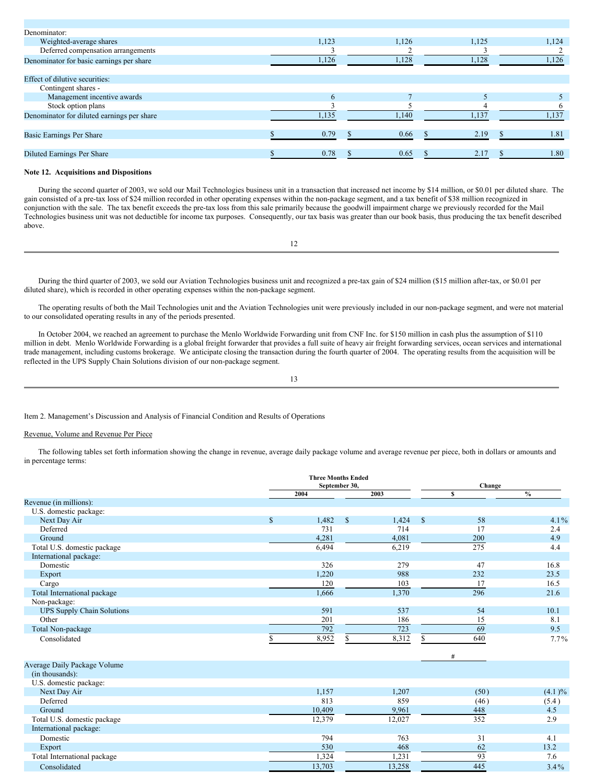| Denominator:                               |       |       |       |       |
|--------------------------------------------|-------|-------|-------|-------|
| Weighted-average shares                    | 1,123 | 1,126 | 1,125 | 1,124 |
| Deferred compensation arrangements         |       |       |       |       |
| Denominator for basic earnings per share   | 1,126 | 1,128 | 1,128 | 1,126 |
| Effect of dilutive securities:             |       |       |       |       |
| Contingent shares -                        |       |       |       |       |
| Management incentive awards                | 6     |       |       |       |
| Stock option plans                         |       |       |       |       |
| Denominator for diluted earnings per share | 1,135 | 1.140 | 1,137 | 1,137 |
| Basic Earnings Per Share                   | 0.79  | 0.66  | 2.19  | 1.81  |
|                                            |       |       |       |       |
| Diluted Earnings Per Share                 | 0.78  | 0.65  | 2.17  | 1.80  |

# **Note 12. Acquisitions and Dispositions**

During the second quarter of 2003, we sold our Mail Technologies business unit in a transaction that increased net income by \$14 million, or \$0.01 per diluted share. The gain consisted of a pre-tax loss of \$24 million recorded in other operating expenses within the non-package segment, and a tax benefit of \$38 million recognized in conjunction with the sale. The tax benefit exceeds the pre-tax loss from this sale primarily because the goodwill impairment charge we previously recorded for the Mail Technologies business unit was not deductible for income tax purposes. Consequently, our tax basis was greater than our book basis, thus producing the tax benefit described above.

12

During the third quarter of 2003, we sold our Aviation Technologies business unit and recognized a pre-tax gain of \$24 million (\$15 million after-tax, or \$0.01 per diluted share), which is recorded in other operating expenses within the non-package segment.

The operating results of both the Mail Technologies unit and the Aviation Technologies unit were previously included in our non-package segment, and were not material to our consolidated operating results in any of the periods presented.

In October 2004, we reached an agreement to purchase the Menlo Worldwide Forwarding unit from CNF Inc. for \$150 million in cash plus the assumption of \$110 million in debt. Menlo Worldwide Forwarding is a global freight forwarder that provides a full suite of heavy air freight forwarding services, ocean services and international trade management, including customs brokerage. We anticipate closing the transaction during the fourth quarter of 2004. The operating results from the acquisition will be reflected in the UPS Supply Chain Solutions division of our non-package segment.

| ı<br>ı<br>$\sim$ |
|------------------|

Item 2. Management's Discussion and Analysis of Financial Condition and Results of Operations

# Revenue, Volume and Revenue Per Piece

The following tables set forth information showing the change in revenue, average daily package volume and average revenue per piece, both in dollars or amounts and in percentage terms:

|                                   |               | <b>Three Months Ended</b><br>September 30, |    |        |              |      | Change        |  |  |
|-----------------------------------|---------------|--------------------------------------------|----|--------|--------------|------|---------------|--|--|
|                                   |               | 2004                                       |    | 2003   |              | S    | $\frac{0}{0}$ |  |  |
| Revenue (in millions):            |               |                                            |    |        |              |      |               |  |  |
| U.S. domestic package:            |               |                                            |    |        |              |      |               |  |  |
| Next Day Air                      | $\mathsf{\$}$ | 1,482                                      | \$ | 1,424  | $\mathbb{S}$ | 58   | $4.1\%$       |  |  |
| Deferred                          |               | 731                                        |    | 714    |              | 17   | 2.4           |  |  |
| Ground                            |               | 4,281                                      |    | 4,081  |              | 200  | 4.9           |  |  |
| Total U.S. domestic package       |               | 6,494                                      |    | 6,219  |              | 275  | 4.4           |  |  |
| International package:            |               |                                            |    |        |              |      |               |  |  |
| Domestic                          |               | 326                                        |    | 279    |              | 47   | 16.8          |  |  |
| Export                            |               | 1,220                                      |    | 988    |              | 232  | 23.5          |  |  |
| Cargo                             |               | 120                                        |    | 103    |              | 17   | 16.5          |  |  |
| Total International package       |               | 1,666                                      |    | 1,370  |              | 296  | 21.6          |  |  |
| Non-package:                      |               |                                            |    |        |              |      |               |  |  |
| <b>UPS Supply Chain Solutions</b> |               | 591                                        |    | 537    |              | 54   | 10.1          |  |  |
| Other                             |               | 201                                        |    | 186    |              | 15   | 8.1           |  |  |
| Total Non-package                 |               | 792                                        |    | 723    |              | 69   | 9.5           |  |  |
| Consolidated                      |               | 8,952                                      | \$ | 8,312  | S            | 640  | $7.7\%$       |  |  |
|                                   |               |                                            |    |        |              |      |               |  |  |
|                                   |               |                                            |    |        |              | #    |               |  |  |
| Average Daily Package Volume      |               |                                            |    |        |              |      |               |  |  |
| (in thousands):                   |               |                                            |    |        |              |      |               |  |  |
| U.S. domestic package:            |               |                                            |    |        |              |      |               |  |  |
| Next Day Air                      |               | 1,157                                      |    | 1,207  |              | (50) | (4.1)%        |  |  |
| Deferred                          |               | 813                                        |    | 859    |              | (46) | (5.4)         |  |  |
| Ground                            |               | 10,409                                     |    | 9,961  |              | 448  | 4.5           |  |  |
| Total U.S. domestic package       |               | 12,379                                     |    | 12,027 |              | 352  | 2.9           |  |  |
| International package:            |               |                                            |    |        |              |      |               |  |  |
| Domestic                          |               | 794                                        |    | 763    |              | 31   | 4.1           |  |  |
| Export                            |               | 530                                        |    | 468    |              | 62   | 13.2          |  |  |
| Total International package       |               | 1,324                                      |    | 1,231  |              | 93   | 7.6           |  |  |
| Consolidated                      |               | 13,703                                     |    | 13,258 |              | 445  | $3.4\%$       |  |  |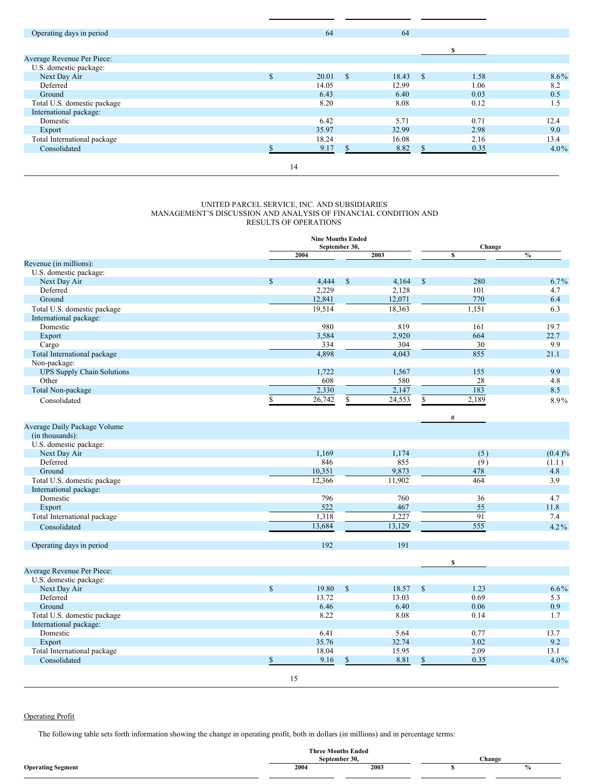| Operating days in period    |               | 64    |              | 64    |               |      |         |
|-----------------------------|---------------|-------|--------------|-------|---------------|------|---------|
|                             |               |       |              |       |               |      |         |
|                             |               |       |              |       |               |      |         |
| Average Revenue Per Piece:  |               |       |              |       |               |      |         |
| U.S. domestic package:      |               |       |              |       |               |      |         |
| Next Day Air                | $\mathcal{S}$ | 20.01 | $\mathbb{S}$ | 18.43 | $\mathcal{S}$ | 1.58 | $8.6\%$ |
| Deferred                    |               | 14.05 |              | 12.99 |               | 1.06 | 8.2     |
| Ground                      |               | 6.43  |              | 6.40  |               | 0.03 | 0.5     |
| Total U.S. domestic package |               | 8.20  |              | 8.08  |               | 0.12 | 1.5     |
| International package:      |               |       |              |       |               |      |         |
| Domestic                    |               | 6.42  |              | 5.71  |               | 0.71 | 12.4    |
| Export                      |               | 35.97 |              | 32.99 |               | 2.98 | 9.0     |
| Total International package |               | 18.24 |              | 16.08 |               | 2.16 | 13.4    |
| Consolidated                |               | 9.17  |              | 8.82  |               | 0.35 | $4.0\%$ |
|                             |               |       |              |       |               |      |         |
|                             | 14            |       |              |       |               |      |         |

### UNITED PARCEL SERVICE, INC. AND SUBSIDIARIES MANAGEMENT'S DISCUSSION AND ANALYSIS OF FINANCIAL CONDITION AND RESULTS OF OPERATIONS

|                                   |             | <b>Nine Months Ended</b><br>September 30, |              |               | Change        |                  |               |  |
|-----------------------------------|-------------|-------------------------------------------|--------------|---------------|---------------|------------------|---------------|--|
|                                   |             | 2004                                      |              | 2003          |               | $\mathbf{s}$     | $\frac{0}{0}$ |  |
| Revenue (in millions):            |             |                                           |              |               |               |                  |               |  |
| U.S. domestic package:            |             |                                           |              |               |               |                  |               |  |
| Next Day Air                      | $\mathbf S$ | 4,444                                     | $\mathbb{S}$ | 4,164         | $\mathbf S$   | 280              | $6.7\%$       |  |
| Deferred                          |             | 2,229                                     |              | 2,128         |               | 101              | 4.7           |  |
| Ground                            |             | 12,841                                    |              | 12,071        |               | 770              | 6.4           |  |
| Total U.S. domestic package       |             | 19,514                                    |              | 18,363        |               | 1.151            | 6.3           |  |
| International package:            |             |                                           |              |               |               |                  |               |  |
| Domestic                          |             | 980                                       |              | 819           |               | 161              | 19.7          |  |
| Export                            |             | 3,584                                     |              | 2,920         |               | 664              | 22.7          |  |
| Cargo                             |             | 334                                       |              | 304           |               | 30               | 9.9           |  |
| Total International package       |             | 4,898                                     |              | 4,043         |               | 855              | 21.1          |  |
| Non-package:                      |             |                                           |              |               |               |                  |               |  |
| <b>UPS Supply Chain Solutions</b> |             | 1,722                                     |              | 1,567         |               | 155              | 9.9           |  |
| Other                             |             | 608                                       |              | 580           |               | 28               | 4.8           |  |
| Total Non-package                 |             | 2,330                                     |              | 2,147         |               | 183              | 8.5           |  |
| Consolidated                      | \$          | 26,742                                    | \$           | 24,553        | \$            | 2,189            | 8.9%          |  |
|                                   |             |                                           |              |               |               |                  |               |  |
| Average Daily Package Volume      |             |                                           |              |               |               | #                |               |  |
| (in thousands):                   |             |                                           |              |               |               |                  |               |  |
| U.S. domestic package:            |             |                                           |              |               |               |                  |               |  |
| Next Day Air                      |             | 1.169                                     |              | 1,174         |               | (5)              | (0.4)%        |  |
| Deferred                          |             | 846                                       |              | 855           |               | (9)              | (1.1)         |  |
| Ground                            |             | 10,351                                    |              | 9,873         |               | 478              | 4.8           |  |
| Total U.S. domestic package       |             | 12,366                                    |              | 11,902        |               | 464              | 3.9           |  |
| International package:            |             |                                           |              |               |               |                  |               |  |
| Domestic                          |             | 796                                       |              | 760           |               | 36               | 4.7           |  |
| Export                            |             | 522                                       |              | 467           |               | 55               | 11.8          |  |
| Total International package       |             | 1,318                                     |              | 1,227         |               | 91               | 7.4           |  |
| Consolidated                      |             | 13,684                                    |              | 13,129        |               | $\overline{555}$ | $4.2\%$       |  |
|                                   |             |                                           |              |               |               |                  |               |  |
| Operating days in period          |             | 192                                       |              | 191           |               |                  |               |  |
| Average Revenue Per Piece:        |             |                                           |              |               |               | $\mathbf{s}$     |               |  |
| U.S. domestic package:            |             |                                           |              |               |               |                  |               |  |
| Next Day Air                      | $\mathbf S$ | 19.80                                     | $\mathbb{S}$ | 18.57         | <sup>\$</sup> | 1.23             | $6.6\%$       |  |
| Deferred                          |             | 13.72                                     |              | 13.03         |               | 0.69             | 5.3           |  |
| Ground                            |             | 6.46                                      |              |               |               | 0.06             | 0.9           |  |
|                                   |             | 8.22                                      |              | 6.40          |               | 0.14             |               |  |
| Total U.S. domestic package       |             |                                           |              | 8.08          |               |                  | 1.7           |  |
| International package:            |             |                                           |              |               |               |                  |               |  |
| Domestic                          |             | 6.41<br>35.76                             |              | 5.64<br>32.74 |               | 0.77             | 13.7<br>9.2   |  |
| Export                            |             |                                           |              |               |               | 3.02             |               |  |
| Total International package       |             | 18.04                                     |              | 15.95         |               | 2.09             | 13.1          |  |
| Consolidated                      | \$          | 9.16                                      | \$           | 8.81          | \$            | 0.35             | $4.0\%$       |  |
|                                   |             | 15                                        |              |               |               |                  |               |  |

# Operating Profit

The following table sets forth information showing the change in operating profit, both in dollars (in millions) and in percentage terms:

|                          | <b>Three Months Ended</b> |           |        |  |  |  |
|--------------------------|---------------------------|-----------|--------|--|--|--|
|                          | September 30,             |           | Change |  |  |  |
| <b>Operating Segment</b> | 2004                      | 2003<br>. |        |  |  |  |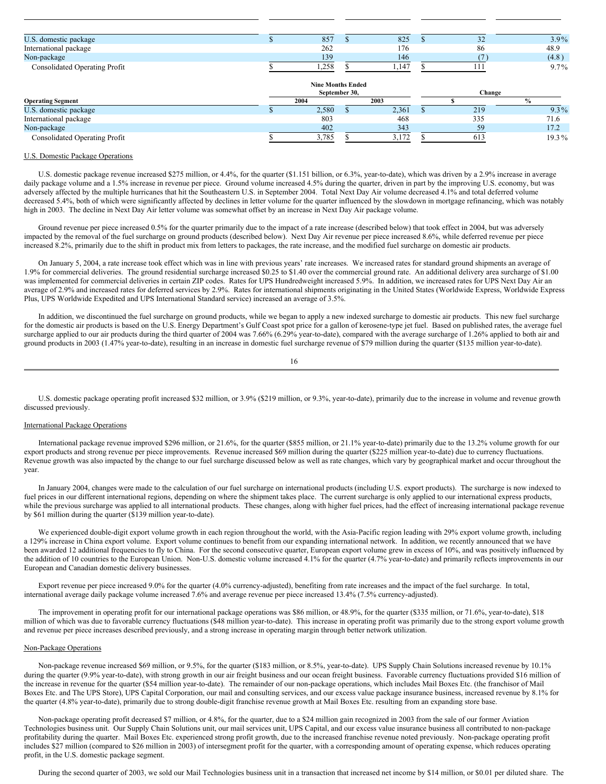| U.S. domestic package         | 857   | 825   | $\sim$<br>ے ر | $3.9\%$ |
|-------------------------------|-------|-------|---------------|---------|
| International package         | 262   | 176   | 86            | 48.9    |
| Non-package                   | 139   | 146   |               | (4.8)   |
| Consolidated Operating Profit | 1.258 | 1.147 |               | $9.7\%$ |

|                                      |  | <b>Nine Months Ended</b><br>September 30, |      |       | Change |              |  |  |
|--------------------------------------|--|-------------------------------------------|------|-------|--------|--------------|--|--|
| <b>Operating Segment</b>             |  | 2004                                      | 2003 |       |        | $\mathbf{0}$ |  |  |
| U.S. domestic package                |  | 2,580                                     |      | 2,361 | 219    | $9.3\%$      |  |  |
| International package                |  | 803                                       |      | 468   | 335    | 71.6         |  |  |
| Non-package                          |  | 402                                       |      | 343   | 59     | 17.2         |  |  |
| <b>Consolidated Operating Profit</b> |  | 3,785                                     |      | 3.172 | 613    | $19.3\%$     |  |  |

# U.S. Domestic Package Operations

U.S. domestic package revenue increased \$275 million, or 4.4%, for the quarter (\$1.151 billion, or 6.3%, year-to-date), which was driven by a 2.9% increase in average daily package volume and a 1.5% increase in revenue per piece. Ground volume increased 4.5% during the quarter, driven in part by the improving U.S. economy, but was adversely affected by the multiple hurricanes that hit the Southeastern U.S. in September 2004. Total Next Day Air volume decreased 4.1% and total deferred volume decreased 5.4%, both of which were significantly affected by declines in letter volume for the quarter influenced by the slowdown in mortgage refinancing, which was notably high in 2003. The decline in Next Day Air letter volume was somewhat offset by an increase in Next Day Air package volume.

Ground revenue per piece increased 0.5% for the quarter primarily due to the impact of a rate increase (described below) that took effect in 2004, but was adversely impacted by the removal of the fuel surcharge on ground products (described below). Next Day Air revenue per piece increased 8.6%, while deferred revenue per piece increased 8.2%, primarily due to the shift in product mix from letters to packages, the rate increase, and the modified fuel surcharge on domestic air products.

On January 5, 2004, a rate increase took effect which was in line with previous years' rate increases. We increased rates for standard ground shipments an average of 1.9% for commercial deliveries. The ground residential surcharge increased \$0.25 to \$1.40 over the commercial ground rate. An additional delivery area surcharge of \$1.00 was implemented for commercial deliveries in certain ZIP codes. Rates for UPS Hundredweight increased 5.9%. In addition, we increased rates for UPS Next Day Air an average of 2.9% and increased rates for deferred services by 2.9%. Rates for international shipments originating in the United States (Worldwide Express, Worldwide Express Plus, UPS Worldwide Expedited and UPS International Standard service) increased an average of 3.5%.

In addition, we discontinued the fuel surcharge on ground products, while we began to apply a new indexed surcharge to domestic air products. This new fuel surcharge for the domestic air products is based on the U.S. Energy Department's Gulf Coast spot price for a gallon of kerosene-type jet fuel. Based on published rates, the average fuel surcharge applied to our air products during the third quarter of 2004 was 7.66% (6.29% year-to-date), compared with the average surcharge of 1.26% applied to both air and ground products in 2003 (1.47% year-to-date), resulting in an increase in domestic fuel surcharge revenue of \$79 million during the quarter (\$135 million year-to-date).

16

U.S. domestic package operating profit increased \$32 million, or 3.9% (\$219 million, or 9.3%, year-to-date), primarily due to the increase in volume and revenue growth discussed previously.

#### International Package Operations

International package revenue improved \$296 million, or 21.6%, for the quarter (\$855 million, or 21.1% year-to-date) primarily due to the 13.2% volume growth for our export products and strong revenue per piece improvements. Revenue increased \$69 million during the quarter (\$225 million year-to-date) due to currency fluctuations. Revenue growth was also impacted by the change to our fuel surcharge discussed below as well as rate changes, which vary by geographical market and occur throughout the year.

In January 2004, changes were made to the calculation of our fuel surcharge on international products (including U.S. export products). The surcharge is now indexed to fuel prices in our different international regions, depending on where the shipment takes place. The current surcharge is only applied to our international express products, while the previous surcharge was applied to all international products. These changes, along with higher fuel prices, had the effect of increasing international package revenue by \$61 million during the quarter (\$139 million year-to-date).

We experienced double-digit export volume growth in each region throughout the world, with the Asia-Pacific region leading with 29% export volume growth, including a 129% increase in China export volume. Export volume continues to benefit from our expanding international network. In addition, we recently announced that we have been awarded 12 additional frequencies to fly to China. For the second consecutive quarter, European export volume grew in excess of 10%, and was positively influenced by the addition of 10 countries to the European Union. Non-U.S. domestic volume increased 4.1% for the quarter (4.7% year-to-date) and primarily reflects improvements in our European and Canadian domestic delivery businesses.

Export revenue per piece increased 9.0% for the quarter (4.0% currency-adjusted), benefiting from rate increases and the impact of the fuel surcharge. In total, international average daily package volume increased 7.6% and average revenue per piece increased 13.4% (7.5% currency-adjusted).

The improvement in operating profit for our international package operations was \$86 million, or 48.9%, for the quarter (\$335 million, or 71.6%, year-to-date), \$18 million of which was due to favorable currency fluctuations (\$48 million year-to-date). This increase in operating profit was primarily due to the strong export volume growth and revenue per piece increases described previously, and a strong increase in operating margin through better network utilization.

#### Non-Package Operations

Non-package revenue increased \$69 million, or 9.5%, for the quarter (\$183 million, or 8.5%, year-to-date). UPS Supply Chain Solutions increased revenue by 10.1% during the quarter (9.9% year-to-date), with strong growth in our air freight business and our ocean freight business. Favorable currency fluctuations provided \$16 million of the increase in revenue for the quarter (\$54 million year-to-date). The remainder of our non-package operations, which includes Mail Boxes Etc. (the franchisor of Mail Boxes Etc. and The UPS Store), UPS Capital Corporation, our mail and consulting services, and our excess value package insurance business, increased revenue by 8.1% for the quarter (4.8% year-to-date), primarily due to strong double-digit franchise revenue growth at Mail Boxes Etc. resulting from an expanding store base.

Non-package operating profit decreased \$7 million, or 4.8%, for the quarter, due to a \$24 million gain recognized in 2003 from the sale of our former Aviation Technologies business unit. Our Supply Chain Solutions unit, our mail services unit, UPS Capital, and our excess value insurance business all contributed to non-package profitability during the quarter. Mail Boxes Etc. experienced strong profit growth, due to the increased franchise revenue noted previously. Non-package operating profit includes \$27 million (compared to \$26 million in 2003) of intersegment profit for the quarter, with a corresponding amount of operating expense, which reduces operating profit, in the U.S. domestic package segment.

During the second quarter of 2003, we sold our Mail Technologies business unit in a transaction that increased net income by \$14 million, or \$0.01 per diluted share. The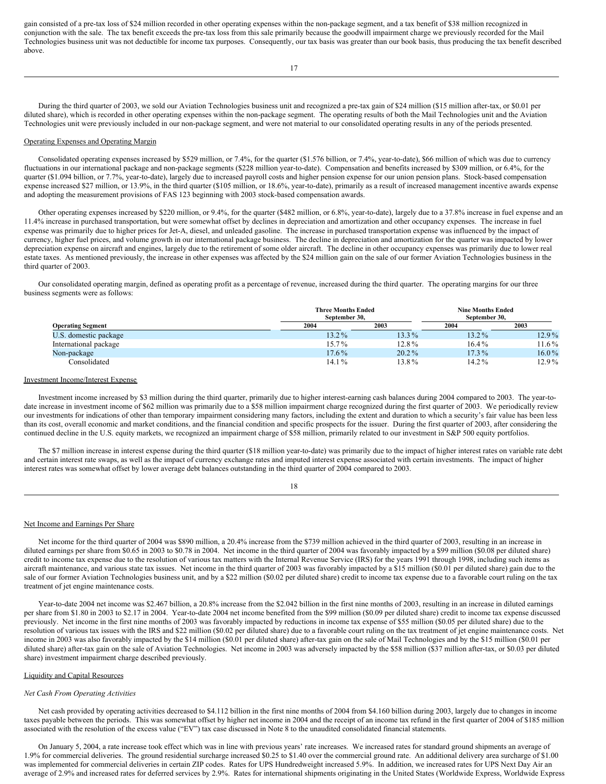gain consisted of a pre-tax loss of \$24 million recorded in other operating expenses within the non-package segment, and a tax benefit of \$38 million recognized in conjunction with the sale. The tax benefit exceeds the pre-tax loss from this sale primarily because the goodwill impairment charge we previously recorded for the Mail Technologies business unit was not deductible for income tax purposes. Consequently, our tax basis was greater than our book basis, thus producing the tax benefit described above.

During the third quarter of 2003, we sold our Aviation Technologies business unit and recognized a pre-tax gain of \$24 million (\$15 million after-tax, or \$0.01 per diluted share), which is recorded in other operating expenses within the non-package segment. The operating results of both the Mail Technologies unit and the Aviation Technologies unit were previously included in our non-package segment, and were not material to our consolidated operating results in any of the periods presented.

#### Operating Expenses and Operating Margin

Consolidated operating expenses increased by \$529 million, or 7.4%, for the quarter (\$1.576 billion, or 7.4%, year-to-date), \$66 million of which was due to currency fluctuations in our international package and non-package segments (\$228 million year-to-date). Compensation and benefits increased by \$309 million, or 6.4%, for the quarter (\$1.094 billion, or 7.7%, year-to-date), largely due to increased payroll costs and higher pension expense for our union pension plans. Stock-based compensation expense increased \$27 million, or 13.9%, in the third quarter (\$105 million, or 18.6%, year-to-date), primarily as a result of increased management incentive awards expense and adopting the measurement provisions of FAS 123 beginning with 2003 stock-based compensation awards.

Other operating expenses increased by \$220 million, or 9.4%, for the quarter (\$482 million, or 6.8%, year-to-date), largely due to a 37.8% increase in fuel expense and an 11.4% increase in purchased transportation, but were somewhat offset by declines in depreciation and amortization and other occupancy expenses. The increase in fuel expense was primarily due to higher prices for Jet-A, diesel, and unleaded gasoline. The increase in purchased transportation expense was influenced by the impact of currency, higher fuel prices, and volume growth in our international package business. The decline in depreciation and amortization for the quarter was impacted by lower depreciation expense on aircraft and engines, largely due to the retirement of some older aircraft. The decline in other occupancy expenses was primarily due to lower real estate taxes. As mentioned previously, the increase in other expenses was affected by the \$24 million gain on the sale of our former Aviation Technologies business in the third quarter of 2003.

Our consolidated operating margin, defined as operating profit as a percentage of revenue, increased during the third quarter. The operating margins for our three business segments were as follows:

|                          | <b>Three Months Ended</b><br>September 30. |          | <b>Nine Months Ended</b><br>September 30. |          |  |  |
|--------------------------|--------------------------------------------|----------|-------------------------------------------|----------|--|--|
| <b>Operating Segment</b> | 2004                                       | 2003     | 2004                                      | 2003     |  |  |
| U.S. domestic package    | $13.2\%$                                   | 13.3%    | $13.2\%$                                  | 12.9%    |  |  |
| International package    | 15.7%                                      | 12.8%    | $16.4\%$                                  | $11.6\%$ |  |  |
| Non-package              | 17.6%                                      | $20.2\%$ | $17.3\%$                                  | $16.0\%$ |  |  |
| Consolidated             | 14.1%                                      | 13.8%    | $14.2\%$                                  | 12.9%    |  |  |

#### Investment Income/Interest Expense

Investment income increased by \$3 million during the third quarter, primarily due to higher interest-earning cash balances during 2004 compared to 2003. The year-todate increase in investment income of \$62 million was primarily due to a \$58 million impairment charge recognized during the first quarter of 2003. We periodically review our investments for indications of other than temporary impairment considering many factors, including the extent and duration to which a security's fair value has been less than its cost, overall economic and market conditions, and the financial condition and specific prospects for the issuer. During the first quarter of 2003, after considering the continued decline in the U.S. equity markets, we recognized an impairment charge of \$58 million, primarily related to our investment in S&P 500 equity portfolios.

The \$7 million increase in interest expense during the third quarter (\$18 million year-to-date) was primarily due to the impact of higher interest rates on variable rate debt and certain interest rate swaps, as well as the impact of currency exchange rates and imputed interest expense associated with certain investments. The impact of higher interest rates was somewhat offset by lower average debt balances outstanding in the third quarter of 2004 compared to 2003.

#### Net Income and Earnings Per Share

Net income for the third quarter of 2004 was \$890 million, a 20.4% increase from the \$739 million achieved in the third quarter of 2003, resulting in an increase in diluted earnings per share from \$0.65 in 2003 to \$0.78 in 2004. Net income in the third quarter of 2004 was favorably impacted by a \$99 million (\$0.08 per diluted share) credit to income tax expense due to the resolution of various tax matters with the Internal Revenue Service (IRS) for the years 1991 through 1998, including such items as aircraft maintenance, and various state tax issues. Net income in the third quarter of 2003 was favorably impacted by a \$15 million (\$0.01 per diluted share) gain due to the sale of our former Aviation Technologies business unit, and by a \$22 million (\$0.02 per diluted share) credit to income tax expense due to a favorable court ruling on the tax treatment of jet engine maintenance costs.

Year-to-date 2004 net income was \$2.467 billion, a 20.8% increase from the \$2.042 billion in the first nine months of 2003, resulting in an increase in diluted earnings per share from \$1.80 in 2003 to \$2.17 in 2004. Year-to-date 2004 net income benefited from the \$99 million (\$0.09 per diluted share) credit to income tax expense discussed previously. Net income in the first nine months of 2003 was favorably impacted by reductions in income tax expense of \$55 million (\$0.05 per diluted share) due to the resolution of various tax issues with the IRS and \$22 million (\$0.02 per diluted share) due to a favorable court ruling on the tax treatment of jet engine maintenance costs. Net income in 2003 was also favorably impacted by the \$14 million (\$0.01 per diluted share) after-tax gain on the sale of Mail Technologies and by the \$15 million (\$0.01 per diluted share) after-tax gain on the sale of Aviation Technologies. Net income in 2003 was adversely impacted by the \$58 million (\$37 million after-tax, or \$0.03 per diluted share) investment impairment charge described previously.

#### Liquidity and Capital Resources

#### *Net Cash From Operating Activities*

Net cash provided by operating activities decreased to \$4.112 billion in the first nine months of 2004 from \$4.160 billion during 2003, largely due to changes in income taxes payable between the periods. This was somewhat offset by higher net income in 2004 and the receipt of an income tax refund in the first quarter of 2004 of \$185 million associated with the resolution of the excess value ("EV") tax case discussed in Note 8 to the unaudited consolidated financial statements.

On January 5, 2004, a rate increase took effect which was in line with previous years' rate increases. We increased rates for standard ground shipments an average of 1.9% for commercial deliveries. The ground residential surcharge increased \$0.25 to \$1.40 over the commercial ground rate. An additional delivery area surcharge of \$1.00 was implemented for commercial deliveries in certain ZIP codes. Rates for UPS Hundredweight increased 5.9%. In addition, we increased rates for UPS Next Day Air an average of 2.9% and increased rates for deferred services by 2.9%. Rates for international shipments originating in the United States (Worldwide Express, Worldwide Express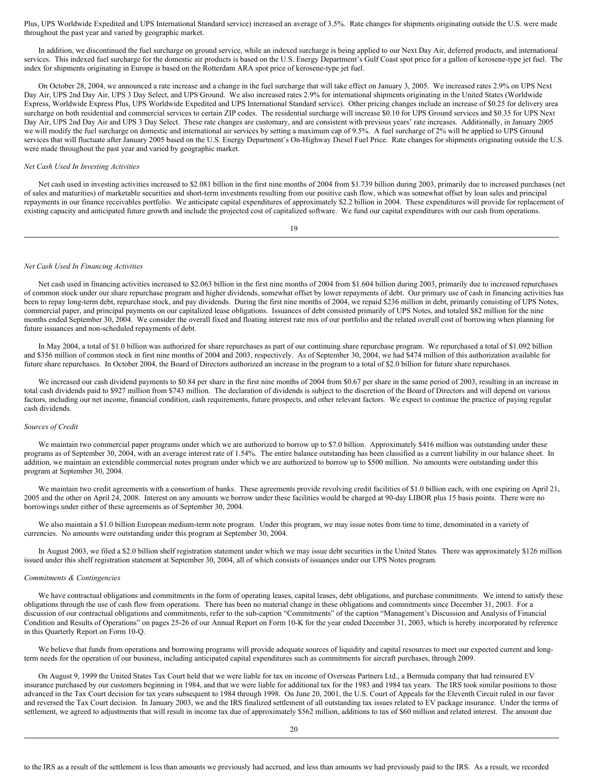Plus, UPS Worldwide Expedited and UPS International Standard service) increased an average of 3.5%. Rate changes for shipments originating outside the U.S. were made throughout the past year and varied by geographic market.

In addition, we discontinued the fuel surcharge on ground service, while an indexed surcharge is being applied to our Next Day Air, deferred products, and international services. This indexed fuel surcharge for the domestic air products is based on the U.S. Energy Department's Gulf Coast spot price for a gallon of kerosene-type jet fuel. The index for shipments originating in Europe is based on the Rotterdam ARA spot price of kerosene-type jet fuel.

On October 28, 2004, we announced a rate increase and a change in the fuel surcharge that will take effect on January 3, 2005. We increased rates 2.9% on UPS Next Day Air, UPS 2nd Day Air, UPS 3 Day Select, and UPS Ground. We also increased rates 2.9% for international shipments originating in the United States (Worldwide Express, Worldwide Express Plus, UPS Worldwide Expedited and UPS International Standard service). Other pricing changes include an increase of \$0.25 for delivery area surcharge on both residential and commercial services to certain ZIP codes. The residential surcharge will increase \$0.10 for UPS Ground services and \$0.35 for UPS Next Day Air, UPS 2nd Day Air and UPS 3 Day Select. These rate changes are customary, and are consistent with previous years' rate increases. Additionally, in January 2005 we will modify the fuel surcharge on domestic and international air services by setting a maximum cap of 9.5%. A fuel surcharge of 2% will be applied to UPS Ground services that will fluctuate after January 2005 based on the U.S. Energy Department's On-Highway Diesel Fuel Price. Rate changes for shipments originating outside the U.S. were made throughout the past year and varied by geographic market.

#### *Net Cash Used In Investing Activities*

Net cash used in investing activities increased to \$2.081 billion in the first nine months of 2004 from \$1.739 billion during 2003, primarily due to increased purchases (net of sales and maturities) of marketable securities and short-term investments resulting from our positive cash flow, which was somewhat offset by loan sales and principal repayments in our finance receivables portfolio. We anticipate capital expenditures of approximately \$2.2 billion in 2004. These expenditures will provide for replacement of existing capacity and anticipated future growth and include the projected cost of capitalized software. We fund our capital expenditures with our cash from operations.

19

#### *Net Cash Used In Financing Activities*

Net cash used in financing activities increased to \$2.063 billion in the first nine months of 2004 from \$1.604 billion during 2003, primarily due to increased repurchases of common stock under our share repurchase program and higher dividends, somewhat offset by lower repayments of debt. Our primary use of cash in financing activities has been to repay long-term debt, repurchase stock, and pay dividends. During the first nine months of 2004, we repaid \$236 million in debt, primarily consisting of UPS Notes, commercial paper, and principal payments on our capitalized lease obligations. Issuances of debt consisted primarily of UPS Notes, and totaled \$82 million for the nine months ended September 30, 2004. We consider the overall fixed and floating interest rate mix of our portfolio and the related overall cost of borrowing when planning for future issuances and non-scheduled repayments of debt.

In May 2004, a total of \$1.0 billion was authorized for share repurchases as part of our continuing share repurchase program. We repurchased a total of \$1.092 billion and \$356 million of common stock in first nine months of 2004 and 2003, respectively. As of September 30, 2004, we had \$474 million of this authorization available for future share repurchases. In October 2004, the Board of Directors authorized an increase in the program to a total of \$2.0 billion for future share repurchases.

We increased our cash dividend payments to \$0.84 per share in the first nine months of 2004 from \$0.67 per share in the same period of 2003, resulting in an increase in total cash dividends paid to \$927 million from \$743 million. The declaration of dividends is subject to the discretion of the Board of Directors and will depend on various factors, including our net income, financial condition, cash requirements, future prospects, and other relevant factors. We expect to continue the practice of paying regular cash dividends.

# *Sources of Credit*

We maintain two commercial paper programs under which we are authorized to borrow up to \$7.0 billion. Approximately \$416 million was outstanding under these programs as of September 30, 2004, with an average interest rate of 1.54%. The entire balance outstanding has been classified as a current liability in our balance sheet. In addition, we maintain an extendible commercial notes program under which we are authorized to borrow up to \$500 million. No amounts were outstanding under this program at September 30, 2004.

We maintain two credit agreements with a consortium of banks. These agreements provide revolving credit facilities of \$1.0 billion each, with one expiring on April 21, 2005 and the other on April 24, 2008. Interest on any amounts we borrow under these facilities would be charged at 90-day LIBOR plus 15 basis points. There were no borrowings under either of these agreements as of September 30, 2004.

We also maintain a \$1.0 billion European medium-term note program. Under this program, we may issue notes from time to time, denominated in a variety of currencies. No amounts were outstanding under this program at September 30, 2004.

In August 2003, we filed a \$2.0 billion shelf registration statement under which we may issue debt securities in the United States. There was approximately \$126 million issued under this shelf registration statement at September 30, 2004, all of which consists of issuances under our UPS Notes program.

#### *Commitments & Contingencies*

We have contractual obligations and commitments in the form of operating leases, capital leases, debt obligations, and purchase commitments. We intend to satisfy these obligations through the use of cash flow from operations. There has been no material change in these obligations and commitments since December 31, 2003. For a discussion of our contractual obligations and commitments, refer to the sub-caption "Commitments" of the caption "Management's Discussion and Analysis of Financial Condition and Results of Operations" on pages 25-26 of our Annual Report on Form 10-K for the year ended December 31, 2003, which is hereby incorporated by reference in this Quarterly Report on Form 10-Q.

We believe that funds from operations and borrowing programs will provide adequate sources of liquidity and capital resources to meet our expected current and longterm needs for the operation of our business, including anticipated capital expenditures such as commitments for aircraft purchases, through 2009.

On August 9, 1999 the United States Tax Court held that we were liable for tax on income of Overseas Partners Ltd., a Bermuda company that had reinsured EV insurance purchased by our customers beginning in 1984, and that we were liable for additional tax for the 1983 and 1984 tax years. The IRS took similar positions to those advanced in the Tax Court decision for tax years subsequent to 1984 through 1998. On June 20, 2001, the U.S. Court of Appeals for the Eleventh Circuit ruled in our favor and reversed the Tax Court decision. In January 2003, we and the IRS finalized settlement of all outstanding tax issues related to EV package insurance. Under the terms of settlement, we agreed to adjustments that will result in income tax due of approximately \$562 million, additions to tax of \$60 million and related interest. The amount due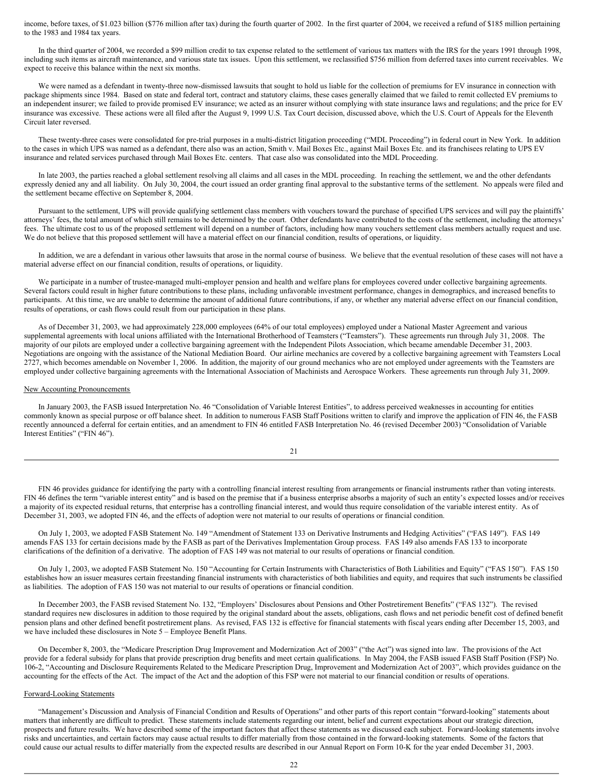income, before taxes, of \$1.023 billion (\$776 million after tax) during the fourth quarter of 2002. In the first quarter of 2004, we received a refund of \$185 million pertaining to the 1983 and 1984 tax years.

In the third quarter of 2004, we recorded a \$99 million credit to tax expense related to the settlement of various tax matters with the IRS for the years 1991 through 1998, including such items as aircraft maintenance, and various state tax issues. Upon this settlement, we reclassified \$756 million from deferred taxes into current receivables. We expect to receive this balance within the next six months.

We were named as a defendant in twenty-three now-dismissed lawsuits that sought to hold us liable for the collection of premiums for EV insurance in connection with package shipments since 1984. Based on state and federal tort, contract and statutory claims, these cases generally claimed that we failed to remit collected EV premiums to an independent insurer; we failed to provide promised EV insurance; we acted as an insurer without complying with state insurance laws and regulations; and the price for EV insurance was excessive. These actions were all filed after the August 9, 1999 U.S. Tax Court decision, discussed above, which the U.S. Court of Appeals for the Eleventh Circuit later reversed.

These twenty-three cases were consolidated for pre-trial purposes in a multi-district litigation proceeding ("MDL Proceeding") in federal court in New York. In addition to the cases in which UPS was named as a defendant, there also was an action, Smith v. Mail Boxes Etc., against Mail Boxes Etc. and its franchisees relating to UPS EV insurance and related services purchased through Mail Boxes Etc. centers. That case also was consolidated into the MDL Proceeding.

In late 2003, the parties reached a global settlement resolving all claims and all cases in the MDL proceeding. In reaching the settlement, we and the other defendants expressly denied any and all liability. On July 30, 2004, the court issued an order granting final approval to the substantive terms of the settlement. No appeals were filed and the settlement became effective on September 8, 2004.

Pursuant to the settlement, UPS will provide qualifying settlement class members with vouchers toward the purchase of specified UPS services and will pay the plaintiffs' attorneys' fees, the total amount of which still remains to be determined by the court. Other defendants have contributed to the costs of the settlement, including the attorneys' fees. The ultimate cost to us of the proposed settlement will depend on a number of factors, including how many vouchers settlement class members actually request and use. We do not believe that this proposed settlement will have a material effect on our financial condition, results of operations, or liquidity.

In addition, we are a defendant in various other lawsuits that arose in the normal course of business. We believe that the eventual resolution of these cases will not have a material adverse effect on our financial condition, results of operations, or liquidity.

We participate in a number of trustee-managed multi-employer pension and health and welfare plans for employees covered under collective bargaining agreements. Several factors could result in higher future contributions to these plans, including unfavorable investment performance, changes in demographics, and increased benefits to participants. At this time, we are unable to determine the amount of additional future contributions, if any, or whether any material adverse effect on our financial condition, results of operations, or cash flows could result from our participation in these plans.

As of December 31, 2003, we had approximately 228,000 employees (64% of our total employees) employed under a National Master Agreement and various supplemental agreements with local unions affiliated with the International Brotherhood of Teamsters ("Teamsters"). These agreements run through July 31, 2008. The majority of our pilots are employed under a collective bargaining agreement with the Independent Pilots Association, which became amendable December 31, 2003. Negotiations are ongoing with the assistance of the National Mediation Board. Our airline mechanics are covered by a collective bargaining agreement with Teamsters Local 2727, which becomes amendable on November 1, 2006. In addition, the majority of our ground mechanics who are not employed under agreements with the Teamsters are employed under collective bargaining agreements with the International Association of Machinists and Aerospace Workers. These agreements run through July 31, 2009.

#### New Accounting Pronouncements

In January 2003, the FASB issued Interpretation No. 46 "Consolidation of Variable Interest Entities", to address perceived weaknesses in accounting for entities commonly known as special purpose or off balance sheet. In addition to numerous FASB Staff Positions written to clarify and improve the application of FIN 46, the FASB recently announced a deferral for certain entities, and an amendment to FIN 46 entitled FASB Interpretation No. 46 (revised December 2003) "Consolidation of Variable Interest Entities" ("FIN 46").

| ł<br>×,<br>I |  |
|--------------|--|
|              |  |

FIN 46 provides guidance for identifying the party with a controlling financial interest resulting from arrangements or financial instruments rather than voting interests. FIN 46 defines the term "variable interest entity" and is based on the premise that if a business enterprise absorbs a majority of such an entity's expected losses and/or receives a majority of its expected residual returns, that enterprise has a controlling financial interest, and would thus require consolidation of the variable interest entity. As of December 31, 2003, we adopted FIN 46, and the effects of adoption were not material to our results of operations or financial condition.

On July 1, 2003, we adopted FASB Statement No. 149 "Amendment of Statement 133 on Derivative Instruments and Hedging Activities" ("FAS 149"). FAS 149 amends FAS 133 for certain decisions made by the FASB as part of the Derivatives Implementation Group process. FAS 149 also amends FAS 133 to incorporate clarifications of the definition of a derivative. The adoption of FAS 149 was not material to our results of operations or financial condition.

On July 1, 2003, we adopted FASB Statement No. 150 "Accounting for Certain Instruments with Characteristics of Both Liabilities and Equity" ("FAS 150"). FAS 150 establishes how an issuer measures certain freestanding financial instruments with characteristics of both liabilities and equity, and requires that such instruments be classified as liabilities. The adoption of FAS 150 was not material to our results of operations or financial condition.

In December 2003, the FASB revised Statement No. 132, "Employers' Disclosures about Pensions and Other Postretirement Benefits" ("FAS 132"). The revised standard requires new disclosures in addition to those required by the original standard about the assets, obligations, cash flows and net periodic benefit cost of defined benefit pension plans and other defined benefit postretirement plans. As revised, FAS 132 is effective for financial statements with fiscal years ending after December 15, 2003, and we have included these disclosures in Note 5 – Employee Benefit Plans.

On December 8, 2003, the "Medicare Prescription Drug Improvement and Modernization Act of 2003" ("the Act") was signed into law. The provisions of the Act provide for a federal subsidy for plans that provide prescription drug benefits and meet certain qualifications. In May 2004, the FASB issued FASB Staff Position (FSP) No. 106-2, "Accounting and Disclosure Requirements Related to the Medicare Prescription Drug, Improvement and Modernization Act of 2003", which provides guidance on the accounting for the effects of the Act. The impact of the Act and the adoption of this FSP were not material to our financial condition or results of operations.

# Forward-Looking Statements

"Management's Discussion and Analysis of Financial Condition and Results of Operations" and other parts of this report contain "forward-looking" statements about matters that inherently are difficult to predict. These statements include statements regarding our intent, belief and current expectations about our strategic direction, prospects and future results. We have described some of the important factors that affect these statements as we discussed each subject. Forward-looking statements involve risks and uncertainties, and certain factors may cause actual results to differ materially from those contained in the forward-looking statements. Some of the factors that could cause our actual results to differ materially from the expected results are described in our Annual Report on Form 10-K for the year ended December 31, 2003.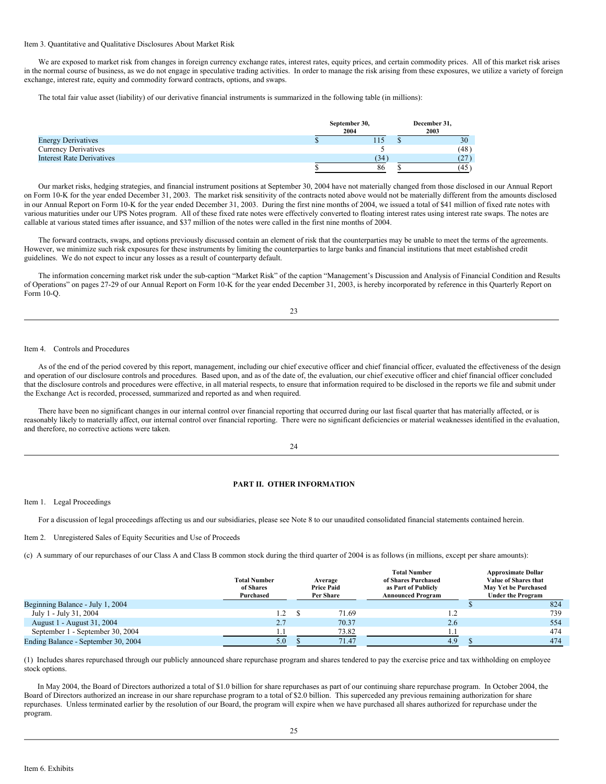#### Item 3. Quantitative and Qualitative Disclosures About Market Risk

We are exposed to market risk from changes in foreign currency exchange rates, interest rates, equity prices, and certain commodity prices. All of this market risk arises in the normal course of business, as we do not engage in speculative trading activities. In order to manage the risk arising from these exposures, we utilize a variety of foreign exchange, interest rate, equity and commodity forward contracts, options, and swaps.

The total fair value asset (liability) of our derivative financial instruments is summarized in the following table (in millions):

|                                  | September 30,<br>2004 | December 31,<br>2003 |      |  |
|----------------------------------|-----------------------|----------------------|------|--|
| <b>Energy Derivatives</b>        | 115                   |                      | 30   |  |
| <b>Currency Derivatives</b>      |                       |                      | (48) |  |
| <b>Interest Rate Derivatives</b> | (34                   |                      |      |  |
|                                  | 86                    |                      | (45  |  |

Our market risks, hedging strategies, and financial instrument positions at September 30, 2004 have not materially changed from those disclosed in our Annual Report on Form 10-K for the year ended December 31, 2003. The market risk sensitivity of the contracts noted above would not be materially different from the amounts disclosed in our Annual Report on Form 10-K for the year ended December 31, 2003. During the first nine months of 2004, we issued a total of \$41 million of fixed rate notes with various maturities under our UPS Notes program. All of these fixed rate notes were effectively converted to floating interest rates using interest rate swaps. The notes are callable at various stated times after issuance, and \$37 million of the notes were called in the first nine months of 2004.

The forward contracts, swaps, and options previously discussed contain an element of risk that the counterparties may be unable to meet the terms of the agreements. However, we minimize such risk exposures for these instruments by limiting the counterparties to large banks and financial institutions that meet established credit guidelines. We do not expect to incur any losses as a result of counterparty default.

The information concerning market risk under the sub-caption "Market Risk" of the caption "Management's Discussion and Analysis of Financial Condition and Results of Operations" on pages 27-29 of our Annual Report on Form 10-K for the year ended December 31, 2003, is hereby incorporated by reference in this Quarterly Report on Form 10-Q.

| ł       |             |
|---------|-------------|
| ×,<br>I | I<br>I<br>× |

#### Item 4. Controls and Procedures

As of the end of the period covered by this report, management, including our chief executive officer and chief financial officer, evaluated the effectiveness of the design and operation of our disclosure controls and procedures. Based upon, and as of the date of, the evaluation, our chief executive officer and chief financial officer concluded that the disclosure controls and procedures were effective, in all material respects, to ensure that information required to be disclosed in the reports we file and submit under the Exchange Act is recorded, processed, summarized and reported as and when required.

There have been no significant changes in our internal control over financial reporting that occurred during our last fiscal quarter that has materially affected, or is reasonably likely to materially affect, our internal control over financial reporting. There were no significant deficiencies or material weaknesses identified in the evaluation, and therefore, no corrective actions were taken.

# 24

# **PART II. OTHER INFORMATION**

Item 1. Legal Proceedings

For a discussion of legal proceedings affecting us and our subsidiaries, please see Note 8 to our unaudited consolidated financial statements contained herein.

Item 2. Unregistered Sales of Equity Securities and Use of Proceeds

(c) A summary of our repurchases of our Class A and Class B common stock during the third quarter of 2004 is as follows (in millions, except per share amounts):

|                                     | <b>Total Number</b><br>of Shares<br>Purchased | Average<br><b>Price Paid</b><br>Per Share | <b>Total Number</b><br>of Shares Purchased<br>as Part of Publicly<br><b>Announced Program</b> | <b>Approximate Dollar</b><br>Value of Shares that<br>May Yet be Purchased<br><b>Under the Program</b> |
|-------------------------------------|-----------------------------------------------|-------------------------------------------|-----------------------------------------------------------------------------------------------|-------------------------------------------------------------------------------------------------------|
| Beginning Balance - July 1, 2004    |                                               |                                           |                                                                                               | 824                                                                                                   |
| July 1 - July 31, 2004              | 1.2                                           | 71.69                                     |                                                                                               | 739                                                                                                   |
| August 1 - August 31, 2004          | 2.7                                           | 70.37                                     | 2.6                                                                                           | 554                                                                                                   |
| September 1 - September 30, 2004    |                                               | 73.82                                     |                                                                                               | 474                                                                                                   |
| Ending Balance - September 30, 2004 | 5.0                                           | 71.47                                     | 4.9                                                                                           | 474                                                                                                   |

(1) Includes shares repurchased through our publicly announced share repurchase program and shares tendered to pay the exercise price and tax withholding on employee stock options.

In May 2004, the Board of Directors authorized a total of \$1.0 billion for share repurchases as part of our continuing share repurchase program. In October 2004, the Board of Directors authorized an increase in our share repurchase program to a total of \$2.0 billion. This superceded any previous remaining authorization for share repurchases. Unless terminated earlier by the resolution of our Board, the program will expire when we have purchased all shares authorized for repurchase under the program.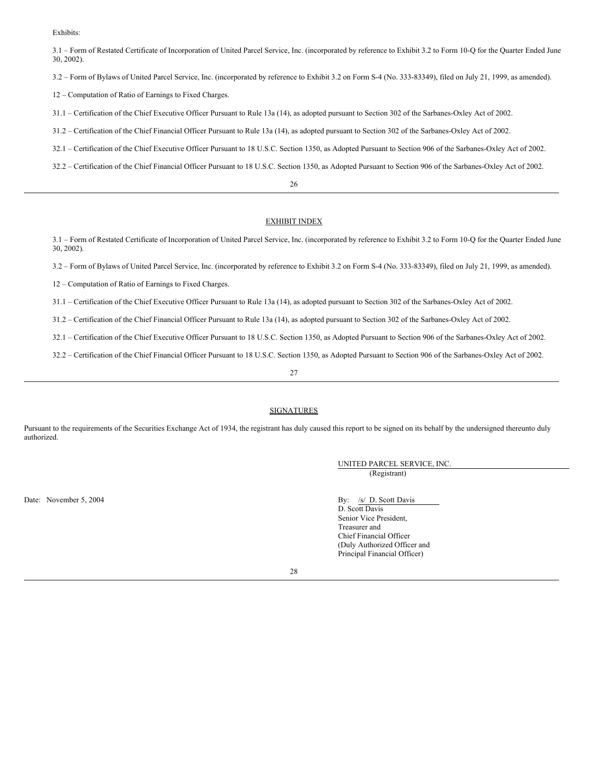Exhibits:

3.1 – Form of Restated Certificate of Incorporation of United Parcel Service, Inc. (incorporated by reference to Exhibit 3.2 to Form 10-Q for the Quarter Ended June 30, 2002).

3.2 – Form of Bylaws of United Parcel Service, Inc. (incorporated by reference to Exhibit 3.2 on Form S-4 (No. 333-83349), filed on July 21, 1999, as amended).

12 – Computation of Ratio of Earnings to Fixed Charges.

31.1 – Certification of the Chief Executive Officer Pursuant to Rule 13a (14), as adopted pursuant to Section 302 of the Sarbanes-Oxley Act of 2002.

31.2 – Certification of the Chief Financial Officer Pursuant to Rule 13a (14), as adopted pursuant to Section 302 of the Sarbanes-Oxley Act of 2002.

32.1 – Certification of the Chief Executive Officer Pursuant to 18 U.S.C. Section 1350, as Adopted Pursuant to Section 906 of the Sarbanes-Oxley Act of 2002.

32.2 – Certification of the Chief Financial Officer Pursuant to 18 U.S.C. Section 1350, as Adopted Pursuant to Section 906 of the Sarbanes-Oxley Act of 2002.

#### 26

# EXHIBIT INDEX

3.1 – Form of Restated Certificate of Incorporation of United Parcel Service, Inc. (incorporated by reference to Exhibit 3.2 to Form 10-Q for the Quarter Ended June 30, 2002).

3.2 – Form of Bylaws of United Parcel Service, Inc. (incorporated by reference to Exhibit 3.2 on Form S-4 (No. 333-83349), filed on July 21, 1999, as amended).

12 – Computation of Ratio of Earnings to Fixed Charges.

31.1 – Certification of the Chief Executive Officer Pursuant to Rule 13a (14), as adopted pursuant to Section 302 of the Sarbanes-Oxley Act of 2002.

31.2 – Certification of the Chief Financial Officer Pursuant to Rule 13a (14), as adopted pursuant to Section 302 of the Sarbanes-Oxley Act of 2002.

32.1 – Certification of the Chief Executive Officer Pursuant to 18 U.S.C. Section 1350, as Adopted Pursuant to Section 906 of the Sarbanes-Oxley Act of 2002.

32.2 – Certification of the Chief Financial Officer Pursuant to 18 U.S.C. Section 1350, as Adopted Pursuant to Section 906 of the Sarbanes-Oxley Act of 2002.

27

# SIGNATURES

Pursuant to the requirements of the Securities Exchange Act of 1934, the registrant has duly caused this report to be signed on its behalf by the undersigned thereunto duly authorized.

> UNITED PARCEL SERVICE, INC. (Registrant)

Date: November 5, 2004 By: /s/ D. Scott Davis

D. Scott Davis Senior Vice President, Treasurer and Chief Financial Officer (Duly Authorized Officer and Principal Financial Officer)

28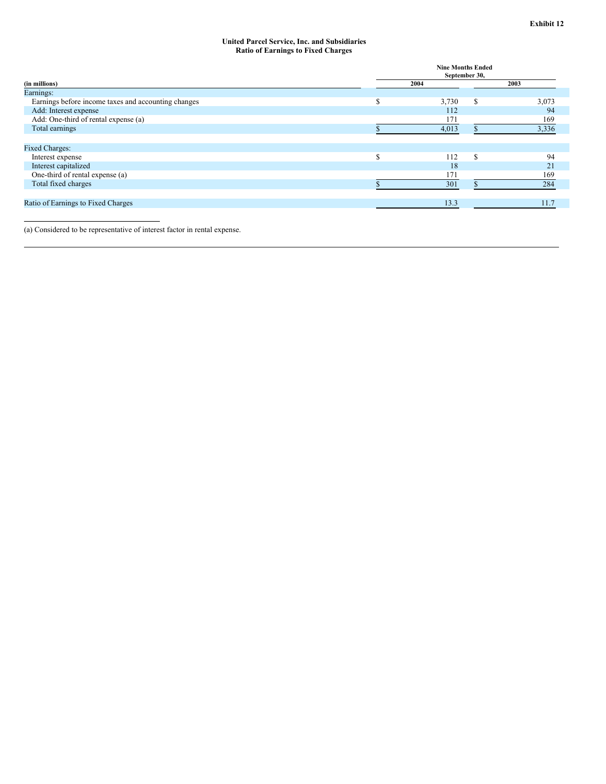#### **United Parcel Service, Inc. and Subsidiaries Ratio of Earnings to Fixed Charges**

|                                                     | <b>Nine Months Ended</b><br>September 30, |       |    |       |  |  |  |
|-----------------------------------------------------|-------------------------------------------|-------|----|-------|--|--|--|
| (in millions)                                       | 2004                                      |       |    | 2003  |  |  |  |
| Earnings:                                           |                                           |       |    |       |  |  |  |
| Earnings before income taxes and accounting changes |                                           | 3,730 | \$ | 3,073 |  |  |  |
| Add: Interest expense                               |                                           | 112   |    | 94    |  |  |  |
| Add: One-third of rental expense (a)                |                                           | 171   |    | 169   |  |  |  |
| Total earnings                                      |                                           | 4,013 |    | 3,336 |  |  |  |
|                                                     |                                           |       |    |       |  |  |  |
| <b>Fixed Charges:</b>                               |                                           |       |    |       |  |  |  |
| Interest expense                                    | $\triangle$                               | 112   | \$ | 94    |  |  |  |
| Interest capitalized                                |                                           | 18    |    | 21    |  |  |  |
| One-third of rental expense (a)                     |                                           | 171   |    | 169   |  |  |  |
| Total fixed charges                                 |                                           | 301   |    | 284   |  |  |  |
|                                                     |                                           |       |    |       |  |  |  |
| Ratio of Earnings to Fixed Charges                  |                                           | 13.3  |    | 11.7  |  |  |  |
|                                                     |                                           |       |    |       |  |  |  |

(a) Considered to be representative of interest factor in rental expense.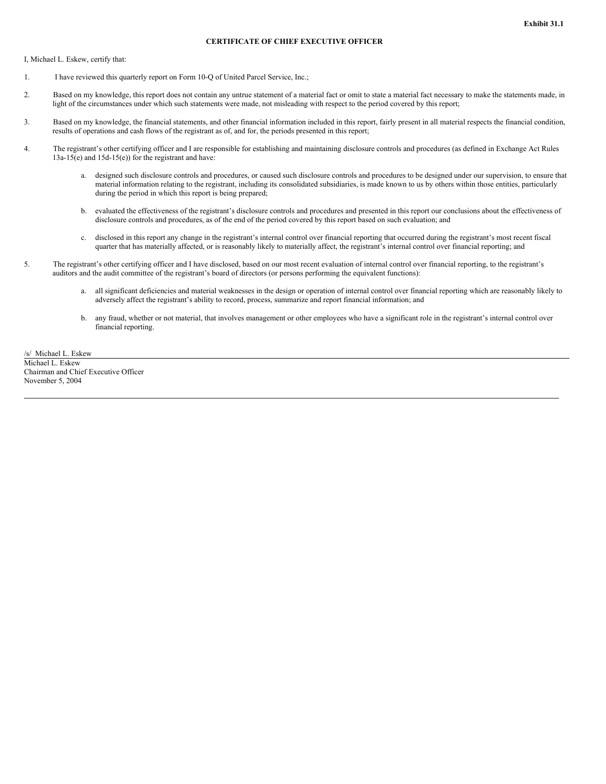# **CERTIFICATE OF CHIEF EXECUTIVE OFFICER**

I, Michael L. Eskew, certify that:

- 1. I have reviewed this quarterly report on Form 10-Q of United Parcel Service, Inc.;
- 2. Based on my knowledge, this report does not contain any untrue statement of a material fact or omit to state a material fact necessary to make the statements made, in light of the circumstances under which such statements were made, not misleading with respect to the period covered by this report;
- 3. Based on my knowledge, the financial statements, and other financial information included in this report, fairly present in all material respects the financial condition, results of operations and cash flows of the registrant as of, and for, the periods presented in this report;
- 4. The registrant's other certifying officer and I are responsible for establishing and maintaining disclosure controls and procedures (as defined in Exchange Act Rules 13a-15(e) and 15d-15(e)) for the registrant and have:
	- a. designed such disclosure controls and procedures, or caused such disclosure controls and procedures to be designed under our supervision, to ensure that material information relating to the registrant, including its consolidated subsidiaries, is made known to us by others within those entities, particularly during the period in which this report is being prepared;
	- b. evaluated the effectiveness of the registrant's disclosure controls and procedures and presented in this report our conclusions about the effectiveness of disclosure controls and procedures, as of the end of the period covered by this report based on such evaluation; and
	- c. disclosed in this report any change in the registrant's internal control over financial reporting that occurred during the registrant's most recent fiscal quarter that has materially affected, or is reasonably likely to materially affect, the registrant's internal control over financial reporting; and
- 5. The registrant's other certifying officer and I have disclosed, based on our most recent evaluation of internal control over financial reporting, to the registrant's auditors and the audit committee of the registrant's board of directors (or persons performing the equivalent functions):
	- a. all significant deficiencies and material weaknesses in the design or operation of internal control over financial reporting which are reasonably likely to adversely affect the registrant's ability to record, process, summarize and report financial information; and
	- b. any fraud, whether or not material, that involves management or other employees who have a significant role in the registrant's internal control over financial reporting.

/s/ Michael L. Eskew Michael L. Eskew Chairman and Chief Executive Officer November 5, 2004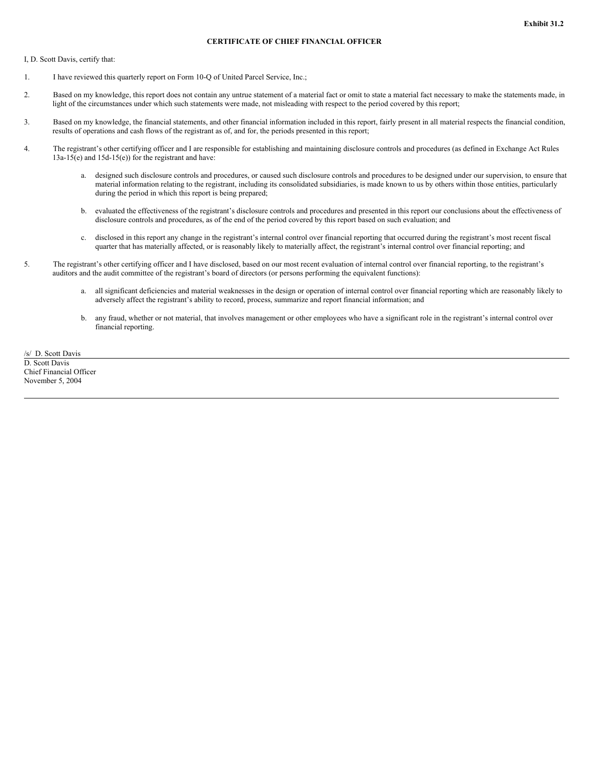# **CERTIFICATE OF CHIEF FINANCIAL OFFICER**

I, D. Scott Davis, certify that:

- 1. I have reviewed this quarterly report on Form 10-Q of United Parcel Service, Inc.;
- 2. Based on my knowledge, this report does not contain any untrue statement of a material fact or omit to state a material fact necessary to make the statements made, in light of the circumstances under which such statements were made, not misleading with respect to the period covered by this report;
- 3. Based on my knowledge, the financial statements, and other financial information included in this report, fairly present in all material respects the financial condition, results of operations and cash flows of the registrant as of, and for, the periods presented in this report;
- 4. The registrant's other certifying officer and I are responsible for establishing and maintaining disclosure controls and procedures (as defined in Exchange Act Rules 13a-15(e) and 15d-15(e)) for the registrant and have:
	- a. designed such disclosure controls and procedures, or caused such disclosure controls and procedures to be designed under our supervision, to ensure that material information relating to the registrant, including its consolidated subsidiaries, is made known to us by others within those entities, particularly during the period in which this report is being prepared;
	- b. evaluated the effectiveness of the registrant's disclosure controls and procedures and presented in this report our conclusions about the effectiveness of disclosure controls and procedures, as of the end of the period covered by this report based on such evaluation; and
	- c. disclosed in this report any change in the registrant's internal control over financial reporting that occurred during the registrant's most recent fiscal quarter that has materially affected, or is reasonably likely to materially affect, the registrant's internal control over financial reporting; and
- 5. The registrant's other certifying officer and I have disclosed, based on our most recent evaluation of internal control over financial reporting, to the registrant's auditors and the audit committee of the registrant's board of directors (or persons performing the equivalent functions):
	- a. all significant deficiencies and material weaknesses in the design or operation of internal control over financial reporting which are reasonably likely to adversely affect the registrant's ability to record, process, summarize and report financial information; and
	- b. any fraud, whether or not material, that involves management or other employees who have a significant role in the registrant's internal control over financial reporting.

/s/ D. Scott Davis D. Scott Davis Chief Financial Officer November 5, 2004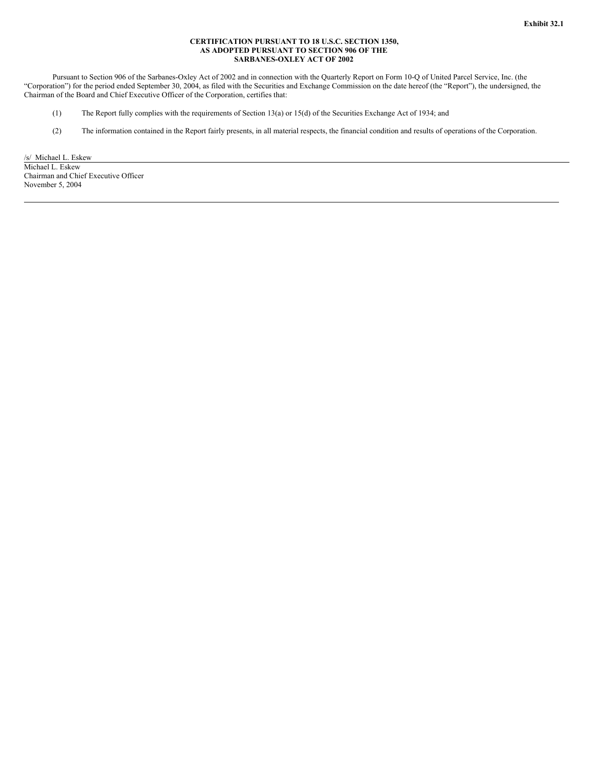#### **CERTIFICATION PURSUANT TO 18 U.S.C. SECTION 1350, AS ADOPTED PURSUANT TO SECTION 906 OF THE SARBANES-OXLEY ACT OF 2002**

Pursuant to Section 906 of the Sarbanes-Oxley Act of 2002 and in connection with the Quarterly Report on Form 10-Q of United Parcel Service, Inc. (the "Corporation") for the period ended September 30, 2004, as filed with the Securities and Exchange Commission on the date hereof (the "Report"), the undersigned, the Chairman of the Board and Chief Executive Officer of the Corporation, certifies that:

- (1) The Report fully complies with the requirements of Section 13(a) or 15(d) of the Securities Exchange Act of 1934; and
- (2) The information contained in the Report fairly presents, in all material respects, the financial condition and results of operations of the Corporation.

/s/ Michael L. Eskew Michael L. Eskew Chairman and Chief Executive Officer November 5, 2004